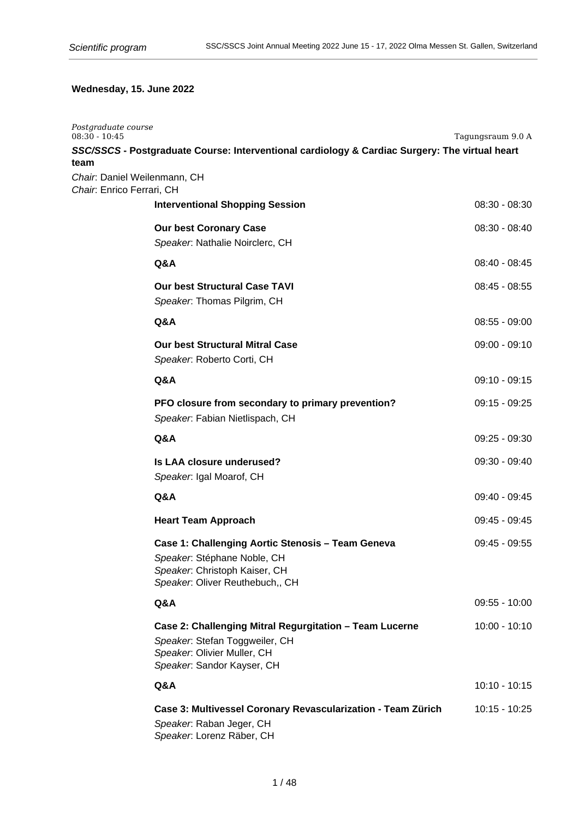# **Wednesday, 15. June 2022**

| Postgraduate course<br>$08:30 - 10:45$                            |                                                                                                                                                        | Tagungsraum 9.0 A |
|-------------------------------------------------------------------|--------------------------------------------------------------------------------------------------------------------------------------------------------|-------------------|
|                                                                   | SSC/SSCS - Postgraduate Course: Interventional cardiology & Cardiac Surgery: The virtual heart                                                         |                   |
| team<br>Chair. Daniel Weilenmann, CH<br>Chair: Enrico Ferrari, CH |                                                                                                                                                        |                   |
|                                                                   | <b>Interventional Shopping Session</b>                                                                                                                 | $08:30 - 08:30$   |
|                                                                   | <b>Our best Coronary Case</b><br>Speaker: Nathalie Noirclerc, CH                                                                                       | $08:30 - 08:40$   |
|                                                                   | Q&A                                                                                                                                                    | $08:40 - 08:45$   |
|                                                                   | <b>Our best Structural Case TAVI</b><br>Speaker: Thomas Pilgrim, CH                                                                                    | $08:45 - 08:55$   |
|                                                                   | Q&A                                                                                                                                                    | $08:55 - 09:00$   |
|                                                                   | <b>Our best Structural Mitral Case</b><br>Speaker. Roberto Corti, CH                                                                                   | $09:00 - 09:10$   |
|                                                                   | Q&A                                                                                                                                                    | $09:10 - 09:15$   |
|                                                                   | PFO closure from secondary to primary prevention?<br>Speaker. Fabian Nietlispach, CH                                                                   | $09:15 - 09:25$   |
|                                                                   | Q&A                                                                                                                                                    | $09:25 - 09:30$   |
|                                                                   | Is LAA closure underused?<br>Speaker. Igal Moarof, CH                                                                                                  | 09:30 - 09:40     |
|                                                                   | Q&A                                                                                                                                                    | 09:40 - 09:45     |
|                                                                   | <b>Heart Team Approach</b>                                                                                                                             | 09:45 - 09:45     |
|                                                                   | Case 1: Challenging Aortic Stenosis - Team Geneva<br>Speaker: Stéphane Noble, CH<br>Speaker. Christoph Kaiser, CH<br>Speaker. Oliver Reuthebuch,, CH   | 09:45 - 09:55     |
|                                                                   | Q&A                                                                                                                                                    | $09:55 - 10:00$   |
|                                                                   | Case 2: Challenging Mitral Regurgitation - Team Lucerne<br>Speaker. Stefan Toggweiler, CH<br>Speaker: Olivier Muller, CH<br>Speaker. Sandor Kayser, CH | $10:00 - 10:10$   |
|                                                                   | Q&A                                                                                                                                                    | $10:10 - 10:15$   |
|                                                                   | Case 3: Multivessel Coronary Revascularization - Team Zürich<br>Speaker. Raban Jeger, CH<br>Speaker. Lorenz Räber, CH                                  | 10:15 - 10:25     |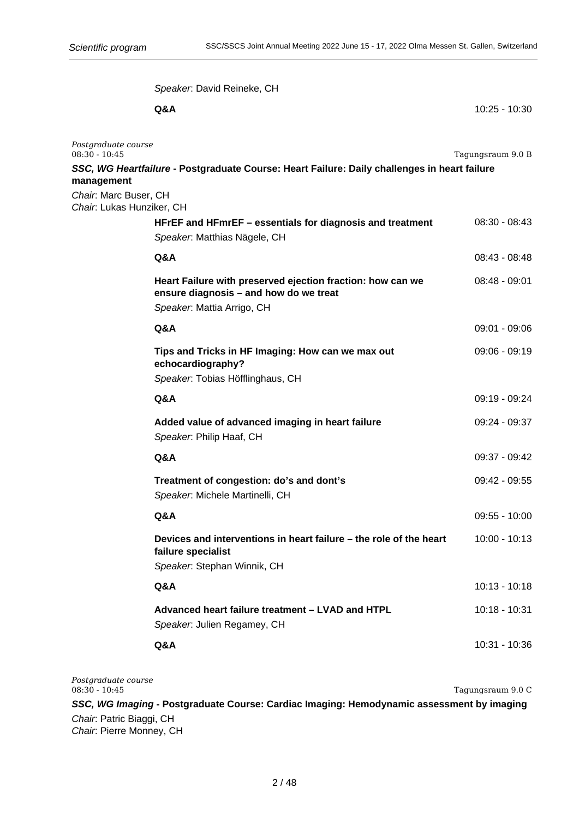Speaker: David Reineke, CH **Q&A** 10:25 - 10:30 *Postgraduate course* 08:30 - 10:45 Tagungsraum 9.0 B **SSC, WG Heartfailure - Postgraduate Course: Heart Failure: Daily challenges in heart failure management** Chair: Marc Buser, CH Chair: Lukas Hunziker, CH **HFrEF and HFmrEF – essentials for diagnosis and treatment** 08:30 - 08:43 Speaker: Matthias Nägele, CH **Q&A** 08:43 - 08:48 **Heart Failure with preserved ejection fraction: how can we** 08:48 - 09:01 **ensure diagnosis – and how do we treat** Speaker: Mattia Arrigo, CH **Q&A** 09:01 - 09:06 **Tips and Tricks in HF Imaging: How can we max out** 09:06 - 09:19 **echocardiography?** Speaker: Tobias Höfflinghaus, CH **Q&A** 09:19 - 09:24 **Added value of advanced imaging in heart failure** 09:24 - 09:37 Speaker: Philip Haaf, CH **Q&A** 09:37 - 09:42 **Treatment of congestion: do's and dont's** 09:42 - 09:55 Speaker: Michele Martinelli, CH **Q&A** 09:55 - 10:00 **Devices and interventions in heart failure – the role of the heart** 10:00 - 10:13 **failure specialist**  Speaker: Stephan Winnik, CH **Q&A** 10:13 - 10:18 **Advanced heart failure treatment – LVAD and HTPL 10:18 - 10:31** Speaker: Julien Regamey, CH **Q&A** 10:31 - 10:36

*Postgraduate course* 08:30 - 10:45 Tagungsraum 9.0 C **SSC, WG Imaging - Postgraduate Course: Cardiac Imaging: Hemodynamic assessment by imaging**

Chair: Patric Biaggi, CH Chair: Pierre Monney, CH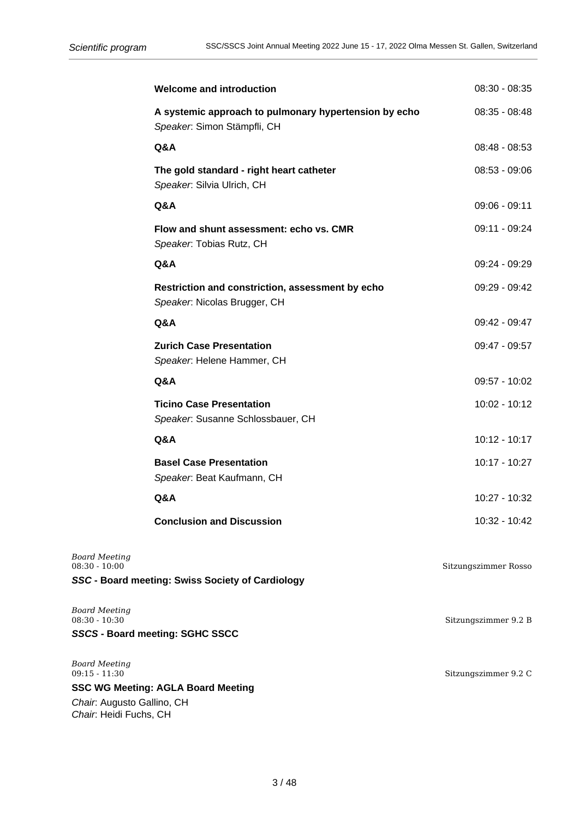Chair: Heidi Fuchs, CH

|                                         | <b>Welcome and introduction</b>                                                      | 08:30 - 08:35        |
|-----------------------------------------|--------------------------------------------------------------------------------------|----------------------|
|                                         | A systemic approach to pulmonary hypertension by echo<br>Speaker. Simon Stämpfli, CH | 08:35 - 08:48        |
|                                         | Q&A                                                                                  | 08:48 - 08:53        |
|                                         | The gold standard - right heart catheter<br>Speaker. Silvia Ulrich, CH               | 08:53 - 09:06        |
|                                         | Q&A                                                                                  | 09:06 - 09:11        |
|                                         | Flow and shunt assessment: echo vs. CMR<br>Speaker. Tobias Rutz, CH                  | 09:11 - 09:24        |
|                                         | Q&A                                                                                  | 09:24 - 09:29        |
|                                         | Restriction and constriction, assessment by echo<br>Speaker. Nicolas Brugger, CH     | 09:29 - 09:42        |
|                                         | Q&A                                                                                  | 09:42 - 09:47        |
|                                         | <b>Zurich Case Presentation</b><br>Speaker. Helene Hammer, CH                        | 09:47 - 09:57        |
|                                         | Q&A                                                                                  | 09:57 - 10:02        |
|                                         | <b>Ticino Case Presentation</b><br>Speaker. Susanne Schlossbauer, CH                 | 10:02 - 10:12        |
|                                         | Q&A                                                                                  | 10:12 - 10:17        |
|                                         | <b>Basel Case Presentation</b><br>Speaker. Beat Kaufmann, CH                         | 10:17 - 10:27        |
|                                         | Q&A                                                                                  | 10:27 - 10:32        |
|                                         | <b>Conclusion and Discussion</b>                                                     | 10:32 - 10:42        |
| <b>Board Meeting</b><br>$08:30 - 10:00$ | SSC - Board meeting: Swiss Society of Cardiology                                     | Sitzungszimmer Rosso |
| <b>Board Meeting</b><br>$08:30 - 10:30$ |                                                                                      | Sitzungszimmer 9.2 B |
|                                         | SSCS - Board meeting: SGHC SSCC                                                      |                      |
| <b>Board Meeting</b><br>$09:15 - 11:30$ | <b>SSC WG Meeting: AGLA Board Meeting</b>                                            | Sitzungszimmer 9.2 C |
| Chair. Augusto Gallino, CH              |                                                                                      |                      |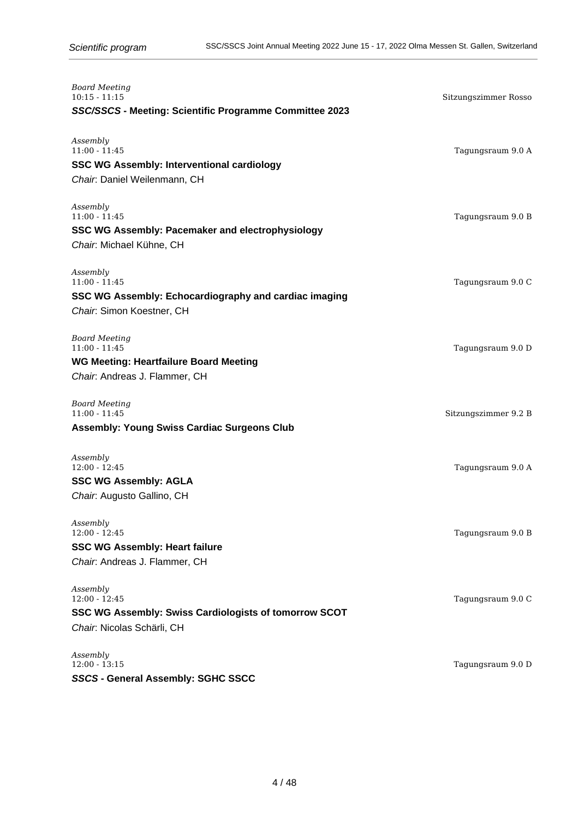| <b>Board Meeting</b><br>$10:15 - 11:15$<br>SSC/SSCS - Meeting: Scientific Programme Committee 2023                        | Sitzungszimmer Rosso |
|---------------------------------------------------------------------------------------------------------------------------|----------------------|
| Assembly<br>$11:00 - 11:45$<br><b>SSC WG Assembly: Interventional cardiology</b><br>Chair: Daniel Weilenmann, CH          | Tagungsraum 9.0 A    |
| Assembly<br>$11:00 - 11:45$<br><b>SSC WG Assembly: Pacemaker and electrophysiology</b><br>Chair: Michael Kühne, CH        | Tagungsraum 9.0 B    |
| Assembly<br>$11:00 - 11:45$<br>SSC WG Assembly: Echocardiography and cardiac imaging<br>Chair: Simon Koestner, CH         | Tagungsraum 9.0 C    |
| <b>Board Meeting</b><br>$11:00 - 11:45$<br><b>WG Meeting: Heartfailure Board Meeting</b><br>Chair: Andreas J. Flammer, CH | Tagungsraum 9.0 D    |
| <b>Board Meeting</b><br>$11:00 - 11:45$<br><b>Assembly: Young Swiss Cardiac Surgeons Club</b>                             | Sitzungszimmer 9.2 B |
| Assembly<br>$12:00 - 12:45$<br><b>SSC WG Assembly: AGLA</b><br>Chair: Augusto Gallino, CH                                 | Tagungsraum 9.0 A    |
| Assembly<br>$12:00 - 12:45$<br><b>SSC WG Assembly: Heart failure</b><br>Chair. Andreas J. Flammer, CH                     | Tagungsraum 9.0 B    |
| Assembly<br>$12:00 - 12:45$<br><b>SSC WG Assembly: Swiss Cardiologists of tomorrow SCOT</b><br>Chair. Nicolas Schärli, CH | Tagungsraum 9.0 C    |
| Assembly<br>$12:00 - 13:15$<br>SSCS - General Assembly: SGHC SSCC                                                         | Tagungsraum 9.0 D    |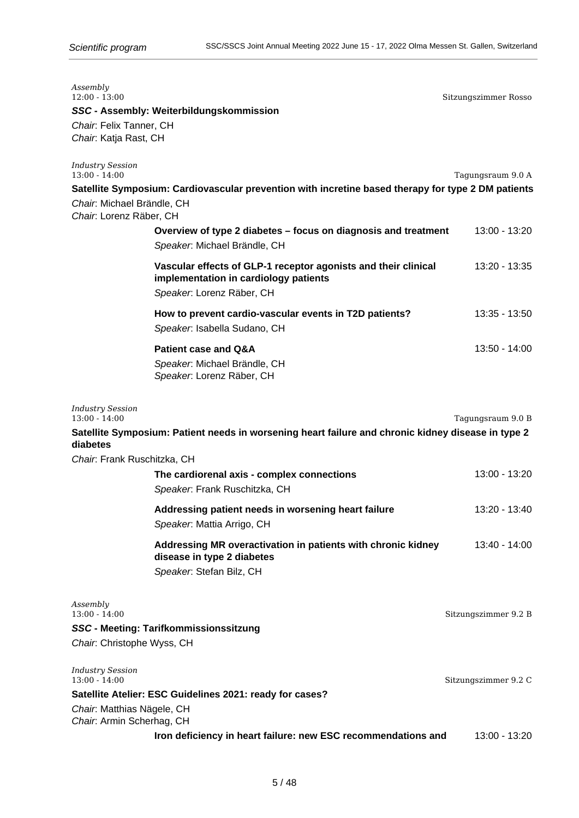| Assembly<br>$12:00 - 13:00$                             |                                                                                                                                      | Sitzungszimmer Rosso |
|---------------------------------------------------------|--------------------------------------------------------------------------------------------------------------------------------------|----------------------|
|                                                         | SSC - Assembly: Weiterbildungskommission                                                                                             |                      |
| Chair: Felix Tanner, CH                                 |                                                                                                                                      |                      |
| Chair. Katja Rast, CH                                   |                                                                                                                                      |                      |
| <b>Industry Session</b><br>$13:00 - 14:00$              |                                                                                                                                      | Tagungsraum 9.0 A    |
|                                                         | Satellite Symposium: Cardiovascular prevention with incretine based therapy for type 2 DM patients                                   |                      |
| Chair: Michael Brändle, CH<br>Chair: Lorenz Räber, CH   |                                                                                                                                      |                      |
|                                                         | Overview of type 2 diabetes – focus on diagnosis and treatment<br>Speaker. Michael Brändle, CH                                       | 13:00 - 13:20        |
|                                                         | Vascular effects of GLP-1 receptor agonists and their clinical<br>implementation in cardiology patients<br>Speaker: Lorenz Räber, CH | 13:20 - 13:35        |
|                                                         | How to prevent cardio-vascular events in T2D patients?<br>Speaker. Isabella Sudano, CH                                               | 13:35 - 13:50        |
|                                                         | <b>Patient case and Q&amp;A</b>                                                                                                      | 13:50 - 14:00        |
|                                                         | Speaker. Michael Brändle, CH<br>Speaker. Lorenz Räber, CH                                                                            |                      |
| <b>Industry Session</b><br>$13:00 - 14:00$              |                                                                                                                                      | Tagungsraum 9.0 B    |
| diabetes                                                | Satellite Symposium: Patient needs in worsening heart failure and chronic kidney disease in type 2                                   |                      |
| Chair. Frank Ruschitzka, CH                             |                                                                                                                                      |                      |
|                                                         | The cardiorenal axis - complex connections                                                                                           | 13:00 - 13:20        |
|                                                         | Speaker. Frank Ruschitzka, CH                                                                                                        |                      |
|                                                         | Addressing patient needs in worsening heart failure<br>Speaker: Mattia Arrigo, CH                                                    | 13:20 - 13:40        |
|                                                         | Addressing MR overactivation in patients with chronic kidney<br>disease in type 2 diabetes<br>Speaker. Stefan Bilz, CH               | 13:40 - 14:00        |
| Assembly<br>$13:00 - 14:00$                             |                                                                                                                                      | Sitzungszimmer 9.2 B |
|                                                         | SSC - Meeting: Tarifkommissionssitzung                                                                                               |                      |
| Chair. Christophe Wyss, CH                              |                                                                                                                                      |                      |
|                                                         |                                                                                                                                      |                      |
| <b>Industry Session</b><br>$13:00 - 14:00$              |                                                                                                                                      | Sitzungszimmer 9.2 C |
|                                                         | Satellite Atelier: ESC Guidelines 2021: ready for cases?                                                                             |                      |
| Chair. Matthias Nägele, CH<br>Chair: Armin Scherhag, CH |                                                                                                                                      |                      |
|                                                         | Iron deficiency in heart failure: new ESC recommendations and                                                                        | 13:00 - 13:20        |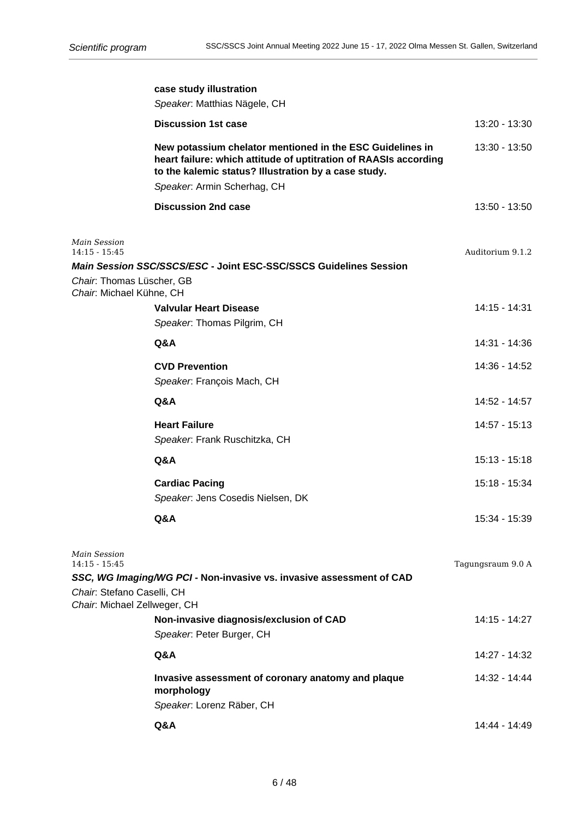|                                                            | case study illustration                                                                                                                                                               |                   |
|------------------------------------------------------------|---------------------------------------------------------------------------------------------------------------------------------------------------------------------------------------|-------------------|
|                                                            | Speaker. Matthias Nägele, CH                                                                                                                                                          |                   |
|                                                            | <b>Discussion 1st case</b>                                                                                                                                                            | 13:20 - 13:30     |
|                                                            | New potassium chelator mentioned in the ESC Guidelines in<br>heart failure: which attitude of uptitration of RAASIs according<br>to the kalemic status? Illustration by a case study. | $13:30 - 13:50$   |
|                                                            | Speaker. Armin Scherhag, CH                                                                                                                                                           |                   |
|                                                            | <b>Discussion 2nd case</b>                                                                                                                                                            | $13:50 - 13:50$   |
| Main Session                                               |                                                                                                                                                                                       |                   |
| $14:15 - 15:45$                                            | Main Session SSC/SSCS/ESC - Joint ESC-SSC/SSCS Guidelines Session                                                                                                                     | Auditorium 9.1.2  |
| Chair: Thomas Lüscher, GB                                  |                                                                                                                                                                                       |                   |
| Chair: Michael Kühne, CH                                   | <b>Valvular Heart Disease</b>                                                                                                                                                         | 14:15 - 14:31     |
|                                                            | Speaker. Thomas Pilgrim, CH                                                                                                                                                           |                   |
|                                                            | Q&A                                                                                                                                                                                   | 14:31 - 14:36     |
|                                                            | <b>CVD Prevention</b>                                                                                                                                                                 | 14:36 - 14:52     |
|                                                            | Speaker. François Mach, CH                                                                                                                                                            |                   |
|                                                            | Q&A                                                                                                                                                                                   | 14:52 - 14:57     |
|                                                            | <b>Heart Failure</b>                                                                                                                                                                  | 14:57 - 15:13     |
|                                                            | Speaker. Frank Ruschitzka, CH                                                                                                                                                         |                   |
|                                                            | Q&A                                                                                                                                                                                   | $15:13 - 15:18$   |
|                                                            | <b>Cardiac Pacing</b>                                                                                                                                                                 | 15:18 - 15:34     |
|                                                            | Speaker. Jens Cosedis Nielsen, DK                                                                                                                                                     |                   |
|                                                            | Q&A                                                                                                                                                                                   | 15:34 - 15:39     |
| Main Session                                               |                                                                                                                                                                                       |                   |
| $14:15 - 15:45$                                            | SSC, WG Imaging/WG PCI - Non-invasive vs. invasive assessment of CAD                                                                                                                  | Tagungsraum 9.0 A |
| Chair. Stefano Caselli, CH<br>Chair. Michael Zellweger, CH |                                                                                                                                                                                       |                   |
|                                                            | Non-invasive diagnosis/exclusion of CAD                                                                                                                                               | 14:15 - 14:27     |
|                                                            | Speaker. Peter Burger, CH                                                                                                                                                             |                   |
|                                                            | Q&A                                                                                                                                                                                   | 14:27 - 14:32     |
|                                                            | Invasive assessment of coronary anatomy and plaque<br>morphology                                                                                                                      | 14:32 - 14:44     |
|                                                            | Speaker: Lorenz Räber, CH                                                                                                                                                             |                   |
|                                                            | Q&A                                                                                                                                                                                   | 14:44 - 14:49     |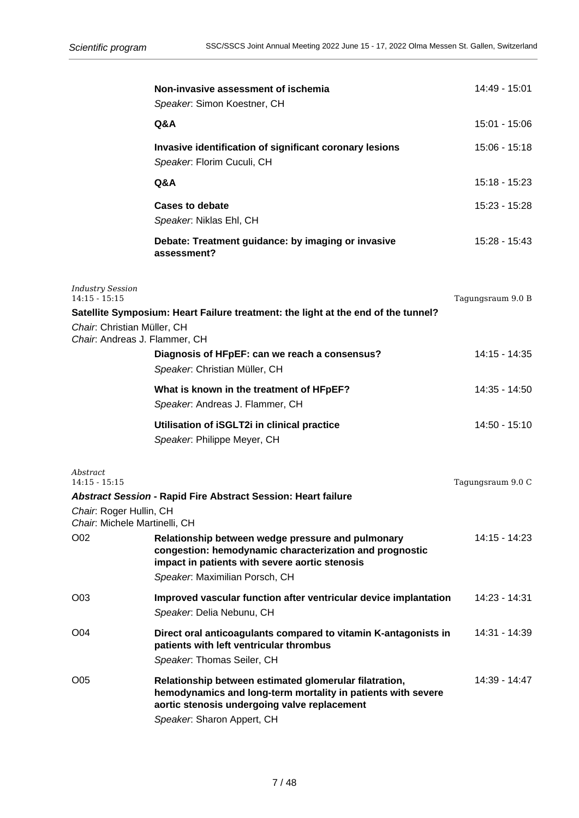|                                                                                         | Non-invasive assessment of ischemia<br>Speaker. Simon Koestner, CH                                                                                                                                   | 14:49 - 15:01     |
|-----------------------------------------------------------------------------------------|------------------------------------------------------------------------------------------------------------------------------------------------------------------------------------------------------|-------------------|
|                                                                                         | Q&A                                                                                                                                                                                                  | 15:01 - 15:06     |
|                                                                                         | Invasive identification of significant coronary lesions<br>Speaker. Florim Cuculi, CH                                                                                                                | 15:06 - 15:18     |
|                                                                                         | Q&A                                                                                                                                                                                                  | 15:18 - 15:23     |
|                                                                                         | <b>Cases to debate</b><br>Speaker. Niklas Ehl, CH                                                                                                                                                    | 15:23 - 15:28     |
|                                                                                         | Debate: Treatment guidance: by imaging or invasive<br>assessment?                                                                                                                                    | 15:28 - 15:43     |
| <b>Industry Session</b><br>$14:15 - 15:15$<br>Chair: Christian Müller, CH               | Satellite Symposium: Heart Failure treatment: the light at the end of the tunnel?                                                                                                                    | Tagungsraum 9.0 B |
| Chair. Andreas J. Flammer, CH                                                           | Diagnosis of HFpEF: can we reach a consensus?<br>Speaker: Christian Müller, CH                                                                                                                       | 14:15 - 14:35     |
|                                                                                         | What is known in the treatment of HFpEF?<br>Speaker. Andreas J. Flammer, CH                                                                                                                          | 14:35 - 14:50     |
|                                                                                         | Utilisation of iSGLT2i in clinical practice<br>Speaker. Philippe Meyer, CH                                                                                                                           | 14:50 - 15:10     |
| Abstract<br>$14:15 - 15:15$<br>Chair: Roger Hullin, CH<br>Chair. Michele Martinelli, CH | Abstract Session - Rapid Fire Abstract Session: Heart failure                                                                                                                                        | Tagungsraum 9.0 C |
| O02                                                                                     | Relationship between wedge pressure and pulmonary<br>congestion: hemodynamic characterization and prognostic<br>impact in patients with severe aortic stenosis<br>Speaker. Maximilian Porsch, CH     | 14:15 - 14:23     |
| O03                                                                                     | Improved vascular function after ventricular device implantation<br>Speaker. Delia Nebunu, CH                                                                                                        | 14:23 - 14:31     |
| O04                                                                                     | Direct oral anticoagulants compared to vitamin K-antagonists in<br>patients with left ventricular thrombus<br>Speaker. Thomas Seiler, CH                                                             | 14:31 - 14:39     |
| O05                                                                                     | Relationship between estimated glomerular filatration,<br>hemodynamics and long-term mortality in patients with severe<br>aortic stenosis undergoing valve replacement<br>Speaker. Sharon Appert, CH | 14:39 - 14:47     |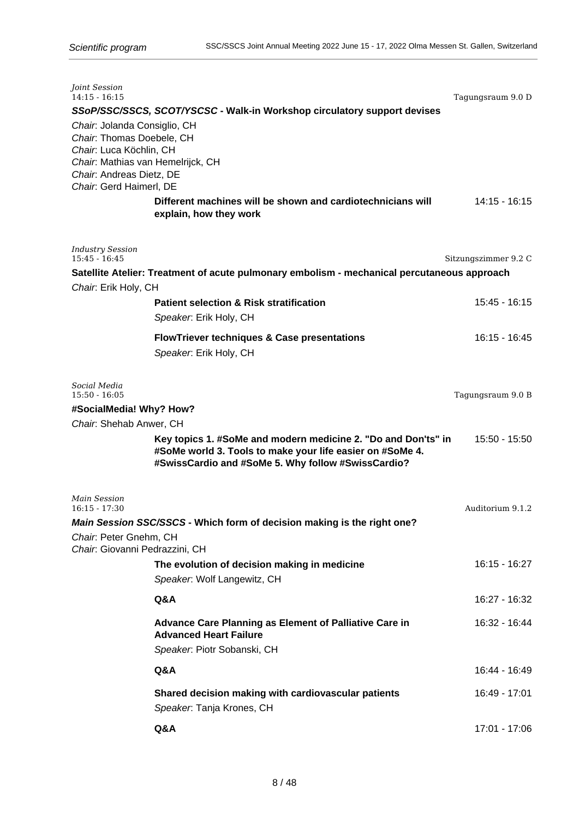| Joint Session<br>$14:15 - 16:15$                              |                                                                                             | Tagungsraum 9.0 D    |
|---------------------------------------------------------------|---------------------------------------------------------------------------------------------|----------------------|
|                                                               | SSoP/SSC/SSCS, SCOT/YSCSC - Walk-in Workshop circulatory support devises                    |                      |
| Chair. Jolanda Consiglio, CH                                  |                                                                                             |                      |
| Chair: Thomas Doebele, CH                                     |                                                                                             |                      |
| Chair. Luca Köchlin, CH                                       |                                                                                             |                      |
| Chair. Mathias van Hemelrijck, CH<br>Chair: Andreas Dietz, DE |                                                                                             |                      |
| Chair. Gerd Haimerl, DE                                       |                                                                                             |                      |
|                                                               | Different machines will be shown and cardiotechnicians will                                 | 14:15 - 16:15        |
|                                                               | explain, how they work                                                                      |                      |
|                                                               |                                                                                             |                      |
| <b>Industry Session</b>                                       |                                                                                             |                      |
| $15:45 - 16:45$                                               |                                                                                             | Sitzungszimmer 9.2 C |
|                                                               | Satellite Atelier: Treatment of acute pulmonary embolism - mechanical percutaneous approach |                      |
| Chair. Erik Holy, CH                                          |                                                                                             |                      |
|                                                               | <b>Patient selection &amp; Risk stratification</b>                                          | 15:45 - 16:15        |
|                                                               | Speaker. Erik Holy, CH                                                                      |                      |
|                                                               | <b>FlowTriever techniques &amp; Case presentations</b>                                      | $16:15 - 16:45$      |
|                                                               | Speaker. Erik Holy, CH                                                                      |                      |
|                                                               |                                                                                             |                      |
| Social Media                                                  |                                                                                             |                      |
| $15:50 - 16:05$                                               |                                                                                             | Tagungsraum 9.0 B    |
| #SocialMedia! Why? How?<br>Chair: Shehab Anwer, CH            |                                                                                             |                      |
|                                                               | Key topics 1. #SoMe and modern medicine 2. "Do and Don'ts" in                               | 15:50 - 15:50        |
|                                                               | #SoMe world 3. Tools to make your life easier on #SoMe 4.                                   |                      |
|                                                               | #SwissCardio and #SoMe 5. Why follow #SwissCardio?                                          |                      |
|                                                               |                                                                                             |                      |
| <b>Main Session</b>                                           |                                                                                             |                      |
| $16:15 - 17:30$                                               |                                                                                             | Auditorium 9.1.2     |
|                                                               | Main Session SSC/SSCS - Which form of decision making is the right one?                     |                      |
| Chair: Peter Gnehm, CH<br>Chair: Giovanni Pedrazzini, CH      |                                                                                             |                      |
|                                                               | The evolution of decision making in medicine                                                | 16:15 - 16:27        |
|                                                               | Speaker. Wolf Langewitz, CH                                                                 |                      |
|                                                               |                                                                                             |                      |
|                                                               | Q&A                                                                                         | 16:27 - 16:32        |
|                                                               | Advance Care Planning as Element of Palliative Care in                                      | 16:32 - 16:44        |
|                                                               | <b>Advanced Heart Failure</b>                                                               |                      |
|                                                               | Speaker. Piotr Sobanski, CH                                                                 |                      |
|                                                               | Q&A                                                                                         | 16:44 - 16:49        |
|                                                               |                                                                                             |                      |
|                                                               | Shared decision making with cardiovascular patients                                         | 16:49 - 17:01        |
|                                                               | Speaker. Tanja Krones, CH                                                                   |                      |
|                                                               | Q&A                                                                                         | 17:01 - 17:06        |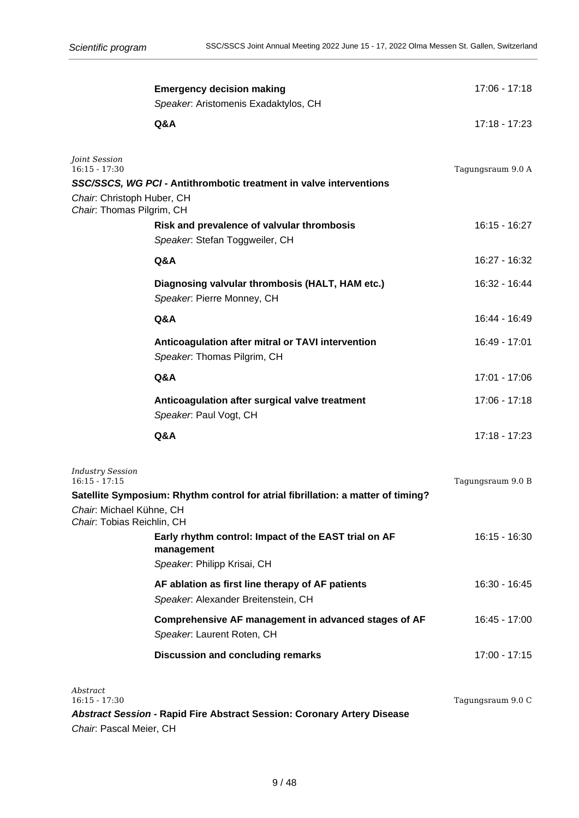|                                                                        | <b>Emergency decision making</b><br>Speaker: Aristomenis Exadaktylos, CH                          | 17:06 - 17:18     |
|------------------------------------------------------------------------|---------------------------------------------------------------------------------------------------|-------------------|
|                                                                        | Q&A                                                                                               | 17:18 - 17:23     |
| Joint Session<br>$16:15 - 17:30$                                       | SSC/SSCS, WG PCI - Antithrombotic treatment in valve interventions                                | Tagungsraum 9.0 A |
| Chair: Christoph Huber, CH<br>Chair: Thomas Pilgrim, CH                |                                                                                                   |                   |
|                                                                        | Risk and prevalence of valvular thrombosis<br>Speaker. Stefan Toggweiler, CH                      | 16:15 - 16:27     |
|                                                                        | Q&A                                                                                               | 16:27 - 16:32     |
|                                                                        | Diagnosing valvular thrombosis (HALT, HAM etc.)<br>Speaker. Pierre Monney, CH                     | 16:32 - 16:44     |
|                                                                        | Q&A                                                                                               | 16:44 - 16:49     |
|                                                                        | Anticoagulation after mitral or TAVI intervention<br>Speaker: Thomas Pilgrim, CH                  | 16:49 - 17:01     |
|                                                                        | Q&A                                                                                               | 17:01 - 17:06     |
|                                                                        | Anticoagulation after surgical valve treatment<br>Speaker. Paul Vogt, CH                          | 17:06 - 17:18     |
|                                                                        | Q&A                                                                                               | 17:18 - 17:23     |
| <b>Industry Session</b><br>$16:15 - 17:15$<br>Chair: Michael Kühne, CH | Satellite Symposium: Rhythm control for atrial fibrillation: a matter of timing?                  | Tagungsraum 9.0 B |
| Chair: Tobias Reichlin, CH                                             |                                                                                                   |                   |
|                                                                        | Early rhythm control: Impact of the EAST trial on AF<br>management<br>Speaker. Philipp Krisai, CH | 16:15 - 16:30     |
|                                                                        | AF ablation as first line therapy of AF patients<br>Speaker. Alexander Breitenstein, CH           | 16:30 - 16:45     |
|                                                                        | Comprehensive AF management in advanced stages of AF<br>Speaker: Laurent Roten, CH                | 16:45 - 17:00     |
|                                                                        | <b>Discussion and concluding remarks</b>                                                          | 17:00 - 17:15     |
| Abstract<br>$16:15 - 17:30$<br>Chair. Pascal Meier, CH                 | <b>Abstract Session - Rapid Fire Abstract Session: Coronary Artery Disease</b>                    | Tagungsraum 9.0 C |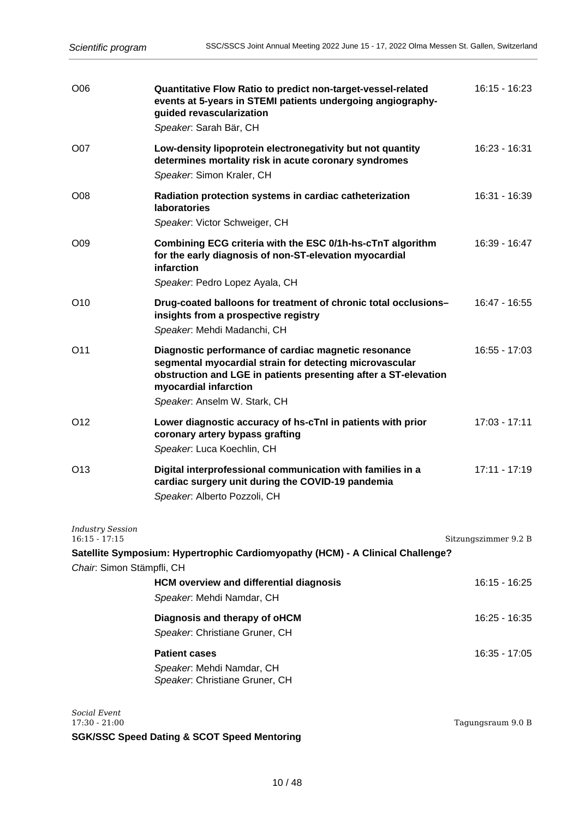| O06                                                                     | Quantitative Flow Ratio to predict non-target-vessel-related<br>events at 5-years in STEMI patients undergoing angiography-<br>guided revascularization<br>Speaker. Sarah Bär, CH                                                           | $16:15 - 16:23$      |
|-------------------------------------------------------------------------|---------------------------------------------------------------------------------------------------------------------------------------------------------------------------------------------------------------------------------------------|----------------------|
| O07                                                                     | Low-density lipoprotein electronegativity but not quantity<br>determines mortality risk in acute coronary syndromes<br>Speaker. Simon Kraler, CH                                                                                            | 16:23 - 16:31        |
| O <sub>08</sub>                                                         | Radiation protection systems in cardiac catheterization<br><b>laboratories</b><br>Speaker. Victor Schweiger, CH                                                                                                                             | 16:31 - 16:39        |
| O09                                                                     | Combining ECG criteria with the ESC 0/1h-hs-cTnT algorithm<br>for the early diagnosis of non-ST-elevation myocardial<br>infarction<br>Speaker: Pedro Lopez Ayala, CH                                                                        | 16:39 - 16:47        |
| O <sub>10</sub>                                                         | Drug-coated balloons for treatment of chronic total occlusions-<br>insights from a prospective registry<br>Speaker: Mehdi Madanchi, CH                                                                                                      | 16:47 - 16:55        |
| O <sub>11</sub>                                                         | Diagnostic performance of cardiac magnetic resonance<br>segmental myocardial strain for detecting microvascular<br>obstruction and LGE in patients presenting after a ST-elevation<br>myocardial infarction<br>Speaker. Anselm W. Stark, CH | 16:55 - 17:03        |
| O <sub>12</sub>                                                         | Lower diagnostic accuracy of hs-cTnI in patients with prior<br>coronary artery bypass grafting<br>Speaker. Luca Koechlin, CH                                                                                                                | $17:03 - 17:11$      |
| O <sub>13</sub>                                                         | Digital interprofessional communication with families in a<br>cardiac surgery unit during the COVID-19 pandemia<br>Speaker: Alberto Pozzoli, CH                                                                                             | $17:11 - 17:19$      |
| <b>Industry Session</b><br>$16:15 - 17:15$<br>Chair: Simon Stämpfli, CH | Satellite Symposium: Hypertrophic Cardiomyopathy (HCM) - A Clinical Challenge?                                                                                                                                                              | Sitzungszimmer 9.2 B |
|                                                                         | <b>HCM overview and differential diagnosis</b><br>Speaker. Mehdi Namdar, CH                                                                                                                                                                 | 16:15 - 16:25        |
|                                                                         | Diagnosis and therapy of oHCM<br>Speaker. Christiane Gruner, CH                                                                                                                                                                             | 16:25 - 16:35        |
|                                                                         | <b>Patient cases</b><br>Speaker. Mehdi Namdar, CH<br>Speaker. Christiane Gruner, CH                                                                                                                                                         | 16:35 - 17:05        |
| Social Event                                                            |                                                                                                                                                                                                                                             |                      |

*Social Event*

**SGK/SSC Speed Dating & SCOT Speed Mentoring**

Tagungsraum 9.0 B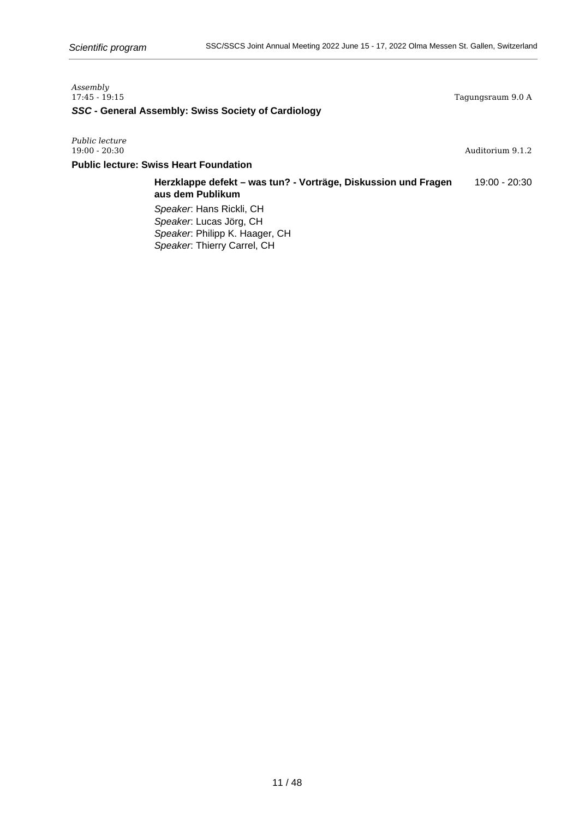| Assembly<br>17:45 - 19:15                           | Tagungsraum 9.0 A |
|-----------------------------------------------------|-------------------|
| SSC - General Assembly: Swiss Society of Cardiology |                   |
|                                                     |                   |

*Public lecture*

Auditorium 9.1.2

## **Public lecture: Swiss Heart Foundation**

**Herzklappe defekt – was tun? - Vorträge, Diskussion und Fragen** 19:00 - 20:30 **aus dem Publikum**

Speaker: Hans Rickli, CH Speaker: Lucas Jörg, CH Speaker: Philipp K. Haager, CH Speaker: Thierry Carrel, CH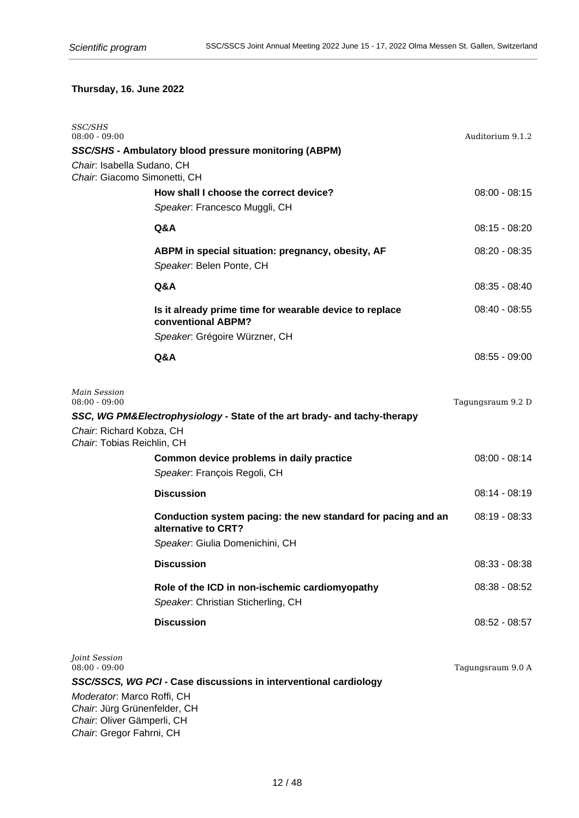# **Thursday, 16. June 2022**

| <i>SSC/SHS</i><br>08:00 - 09:00                            |                                                                                      | Auditorium 9.1.2  |
|------------------------------------------------------------|--------------------------------------------------------------------------------------|-------------------|
|                                                            | SSC/SHS - Ambulatory blood pressure monitoring (ABPM)                                |                   |
| Chair. Isabella Sudano, CH                                 |                                                                                      |                   |
| Chair: Giacomo Simonetti, CH                               |                                                                                      |                   |
|                                                            | How shall I choose the correct device?                                               | $08:00 - 08:15$   |
|                                                            | Speaker. Francesco Muggli, CH                                                        |                   |
|                                                            | Q&A                                                                                  | $08:15 - 08:20$   |
|                                                            | ABPM in special situation: pregnancy, obesity, AF<br>Speaker. Belen Ponte, CH        | $08:20 - 08:35$   |
|                                                            | Q&A                                                                                  | $08:35 - 08:40$   |
|                                                            | Is it already prime time for wearable device to replace<br>conventional ABPM?        | $08:40 - 08:55$   |
|                                                            | Speaker. Grégoire Würzner, CH                                                        |                   |
|                                                            | Q&A                                                                                  | $08:55 - 09:00$   |
|                                                            |                                                                                      |                   |
| Main Session<br>$08:00 - 09:00$                            |                                                                                      | Tagungsraum 9.2 D |
| Chair: Richard Kobza, CH<br>Chair. Tobias Reichlin, CH     | SSC, WG PM&Electrophysiology - State of the art brady- and tachy-therapy             |                   |
|                                                            | Common device problems in daily practice                                             | $08:00 - 08:14$   |
|                                                            | Speaker. François Regoli, CH                                                         |                   |
|                                                            | <b>Discussion</b>                                                                    | $08:14 - 08:19$   |
|                                                            | Conduction system pacing: the new standard for pacing and an<br>alternative to CRT?  | $08:19 - 08:33$   |
|                                                            | Speaker. Giulia Domenichini, CH                                                      |                   |
|                                                            | <b>Discussion</b>                                                                    | $08:33 - 08:38$   |
|                                                            | Role of the ICD in non-ischemic cardiomyopathy<br>Speaker. Christian Sticherling, CH | $08:38 - 08:52$   |
|                                                            | <b>Discussion</b>                                                                    | $08:52 - 08:57$   |
|                                                            |                                                                                      |                   |
| Joint Session<br>$08:00 - 09:00$                           |                                                                                      | Tagungsraum 9.0 A |
|                                                            | SSC/SSCS, WG PCI - Case discussions in interventional cardiology                     |                   |
| Moderator: Marco Roffi, CH                                 |                                                                                      |                   |
| Chair. Jürg Grünenfelder, CH<br>Chair. Oliver Gämperli, CH |                                                                                      |                   |

Chair: Gregor Fahrni, CH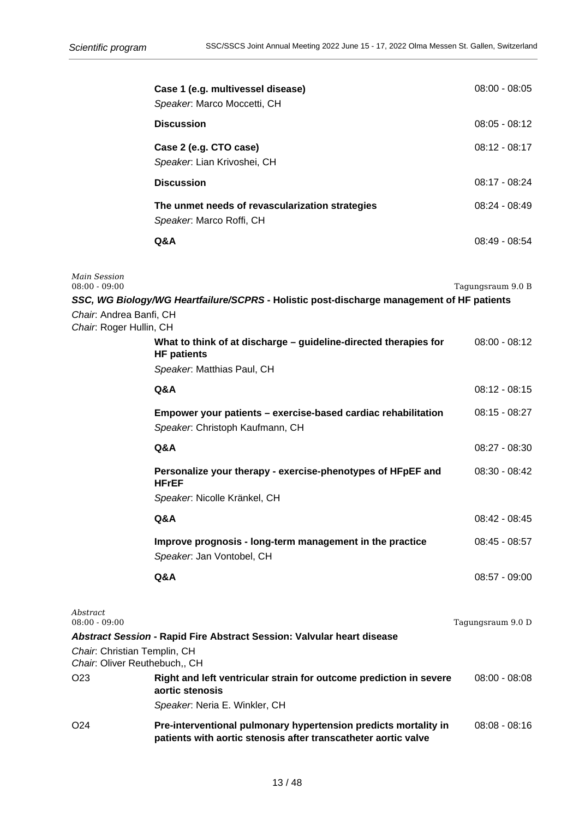|                                                               | Case 1 (e.g. multivessel disease)<br>Speaker. Marco Moccetti, CH                                                       | $08:00 - 08:05$   |
|---------------------------------------------------------------|------------------------------------------------------------------------------------------------------------------------|-------------------|
|                                                               | <b>Discussion</b>                                                                                                      | $08:05 - 08:12$   |
|                                                               | Case 2 (e.g. CTO case)<br>Speaker. Lian Krivoshei, CH                                                                  | $08:12 - 08:17$   |
|                                                               | <b>Discussion</b>                                                                                                      | 08:17 - 08:24     |
|                                                               | The unmet needs of revascularization strategies<br>Speaker. Marco Roffi, CH                                            | 08:24 - 08:49     |
|                                                               | Q&A                                                                                                                    | 08:49 - 08:54     |
| Main Session<br>$08:00 - 09:00$                               |                                                                                                                        | Tagungsraum 9.0 B |
| Chair: Andrea Banfi, CH<br>Chair: Roger Hullin, CH            | SSC, WG Biology/WG Heartfailure/SCPRS - Holistic post-discharge management of HF patients                              |                   |
|                                                               | What to think of at discharge - guideline-directed therapies for<br><b>HF patients</b>                                 | $08:00 - 08:12$   |
|                                                               | Speaker. Matthias Paul, CH                                                                                             |                   |
|                                                               | Q&A                                                                                                                    | $08:12 - 08:15$   |
|                                                               | Empower your patients – exercise-based cardiac rehabilitation<br>Speaker. Christoph Kaufmann, CH                       | $08:15 - 08:27$   |
|                                                               | Q&A                                                                                                                    | $08:27 - 08:30$   |
|                                                               | Personalize your therapy - exercise-phenotypes of HFpEF and<br><b>HFrEF</b>                                            | $08:30 - 08:42$   |
|                                                               | Speaker. Nicolle Kränkel, CH                                                                                           |                   |
|                                                               | Q&A                                                                                                                    | $08:42 - 08:45$   |
|                                                               | Improve prognosis - long-term management in the practice<br>Speaker. Jan Vontobel, CH                                  | $08:45 - 08:57$   |
|                                                               | Q&A                                                                                                                    | $08:57 - 09:00$   |
| Abstract<br>$08:00 - 09:00$                                   |                                                                                                                        | Tagungsraum 9.0 D |
| Chair: Christian Templin, CH<br>Chair. Oliver Reuthebuch,, CH | Abstract Session - Rapid Fire Abstract Session: Valvular heart disease                                                 |                   |
| O <sub>23</sub>                                               | Right and left ventricular strain for outcome prediction in severe<br>aortic stenosis<br>Speaker. Neria E. Winkler, CH | $08:00 - 08:08$   |

O24 **Pre-interventional pulmonary hypertension predicts mortality in** 08:08 - 08:16 **patients with aortic stenosis after transcatheter aortic valve**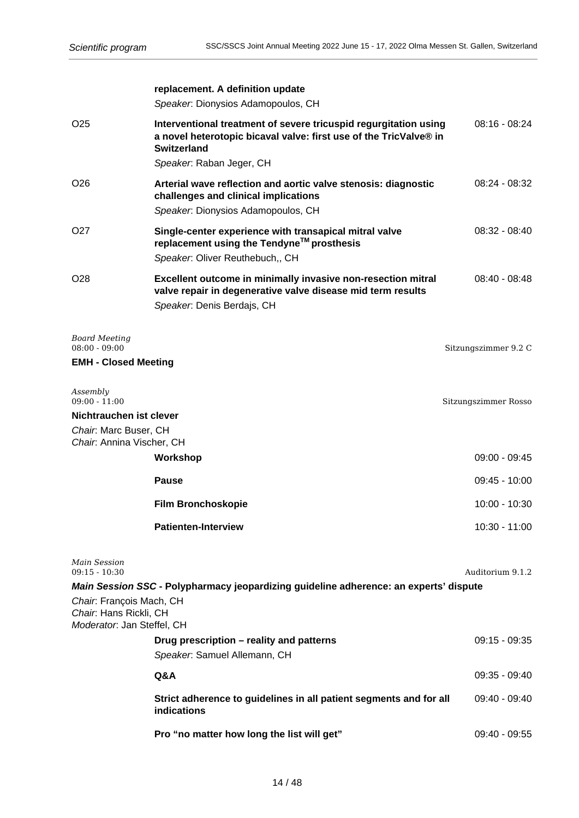|                                                                                  | replacement. A definition update<br>Speaker. Dionysios Adamopoulos, CH                                                                                      |                      |
|----------------------------------------------------------------------------------|-------------------------------------------------------------------------------------------------------------------------------------------------------------|----------------------|
|                                                                                  |                                                                                                                                                             |                      |
| O <sub>25</sub>                                                                  | Interventional treatment of severe tricuspid regurgitation using<br>a novel heterotopic bicaval valve: first use of the TricValve® in<br><b>Switzerland</b> | $08:16 - 08:24$      |
|                                                                                  | Speaker. Raban Jeger, CH                                                                                                                                    |                      |
| O <sub>26</sub>                                                                  | Arterial wave reflection and aortic valve stenosis: diagnostic<br>challenges and clinical implications                                                      | $08:24 - 08:32$      |
|                                                                                  | Speaker. Dionysios Adamopoulos, CH                                                                                                                          |                      |
| O27                                                                              | Single-center experience with transapical mitral valve<br>replacement using the Tendyne™ prosthesis<br>Speaker: Oliver Reuthebuch,, CH                      | $08:32 - 08:40$      |
| O <sub>28</sub>                                                                  | Excellent outcome in minimally invasive non-resection mitral<br>valve repair in degenerative valve disease mid term results<br>Speaker. Denis Berdajs, CH   | $08:40 - 08:48$      |
| Board Meeting<br>$08:00 - 09:00$                                                 |                                                                                                                                                             | Sitzungszimmer 9.2 C |
| <b>EMH - Closed Meeting</b>                                                      |                                                                                                                                                             |                      |
|                                                                                  |                                                                                                                                                             |                      |
| Assembly<br>$09:00 - 11:00$                                                      |                                                                                                                                                             | Sitzungszimmer Rosso |
| Nichtrauchen ist clever                                                          |                                                                                                                                                             |                      |
| Chair. Marc Buser, CH                                                            |                                                                                                                                                             |                      |
| Chair: Annina Vischer, CH                                                        |                                                                                                                                                             |                      |
|                                                                                  | Workshop                                                                                                                                                    | $09:00 - 09:45$      |
|                                                                                  | <b>Pause</b>                                                                                                                                                | $09:45 - 10:00$      |
|                                                                                  | <b>Film Bronchoskopie</b>                                                                                                                                   | 10:00 - 10:30        |
|                                                                                  | <b>Patienten-Interview</b>                                                                                                                                  | $10:30 - 11:00$      |
| Main Session<br>$09:15 - 10:30$                                                  | Main Session SSC - Polypharmacy jeopardizing guideline adherence: an experts' dispute                                                                       | Auditorium 9.1.2     |
| Chair: François Mach, CH<br>Chair: Hans Rickli, CH<br>Moderator: Jan Steffel, CH |                                                                                                                                                             |                      |
|                                                                                  | Drug prescription - reality and patterns                                                                                                                    | $09:15 - 09:35$      |
|                                                                                  | Speaker. Samuel Allemann, CH                                                                                                                                |                      |
|                                                                                  | Q&A                                                                                                                                                         | 09:35 - 09:40        |
|                                                                                  | Strict adherence to guidelines in all patient segments and for all<br>indications                                                                           | 09:40 - 09:40        |
|                                                                                  | Pro "no matter how long the list will get"                                                                                                                  | 09:40 - 09:55        |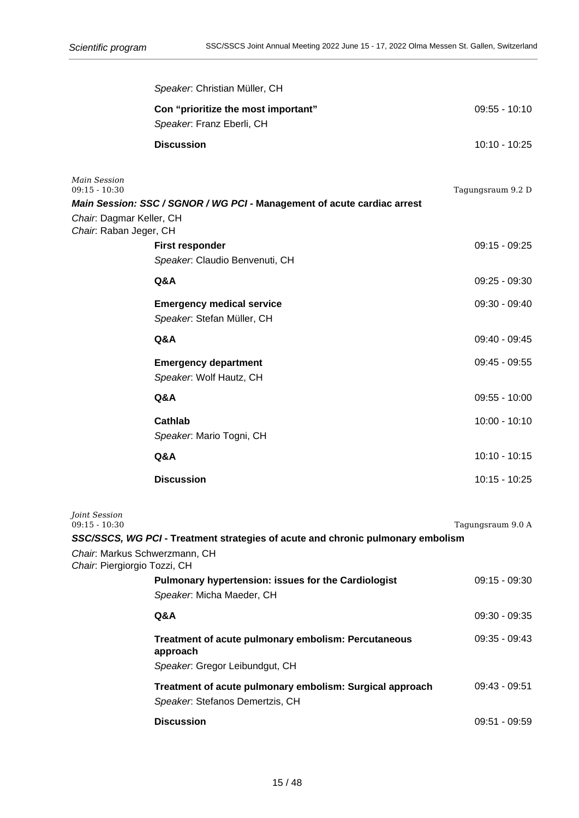|                                                                   | Speaker. Christian Müller, CH                                                    |                   |
|-------------------------------------------------------------------|----------------------------------------------------------------------------------|-------------------|
|                                                                   | Con "prioritize the most important"<br>Speaker. Franz Eberli, CH                 | $09:55 - 10:10$   |
|                                                                   | <b>Discussion</b>                                                                | 10:10 - 10:25     |
| <b>Main Session</b><br>$09:15 - 10:30$                            | Main Session: SSC / SGNOR / WG PCI - Management of acute cardiac arrest          | Tagungsraum 9.2 D |
| Chair: Dagmar Keller, CH<br>Chair: Raban Jeger, CH                |                                                                                  |                   |
|                                                                   | First responder<br>Speaker: Claudio Benvenuti, CH                                | 09:15 - 09:25     |
|                                                                   | Q&A                                                                              | 09:25 - 09:30     |
|                                                                   | <b>Emergency medical service</b><br>Speaker. Stefan Müller, CH                   | 09:30 - 09:40     |
|                                                                   | Q&A                                                                              | 09:40 - 09:45     |
|                                                                   | <b>Emergency department</b><br>Speaker. Wolf Hautz, CH                           | $09:45 - 09:55$   |
|                                                                   | Q&A                                                                              | $09:55 - 10:00$   |
|                                                                   | <b>Cathlab</b><br>Speaker. Mario Togni, CH                                       | $10:00 - 10:10$   |
|                                                                   | Q&A                                                                              | $10:10 - 10:15$   |
|                                                                   | <b>Discussion</b>                                                                | 10:15 - 10:25     |
| Joint Session<br>$09:15 - 10:30$<br>Chair. Markus Schwerzmann, CH | SSC/SSCS, WG PCI - Treatment strategies of acute and chronic pulmonary embolism  | Tagungsraum 9.0 A |
| Chair. Piergiorgio Tozzi, CH                                      |                                                                                  |                   |
|                                                                   | Pulmonary hypertension: issues for the Cardiologist<br>Speaker. Micha Maeder, CH | $09:15 - 09:30$   |
|                                                                   | Q&A                                                                              | 09:30 - 09:35     |
|                                                                   | Treatment of acute pulmonary embolism: Percutaneous<br>approach                  | 09:35 - 09:43     |
|                                                                   | Speaker. Gregor Leibundgut, CH                                                   |                   |
|                                                                   | Treatment of acute pulmonary embolism: Surgical approach                         | 09:43 - 09:51     |

Speaker: Stefanos Demertzis, CH

**Discussion** 09:51 - 09:59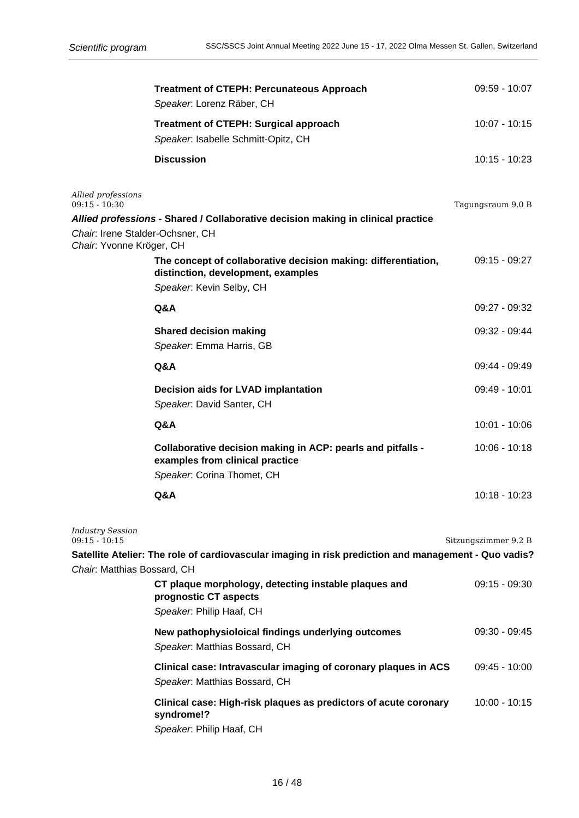|                                                              | <b>Treatment of CTEPH: Percunateous Approach</b><br>Speaker: Lorenz Räber, CH                                                    | 09:59 - 10:07        |
|--------------------------------------------------------------|----------------------------------------------------------------------------------------------------------------------------------|----------------------|
|                                                              | <b>Treatment of CTEPH: Surgical approach</b><br>Speaker. Isabelle Schmitt-Opitz, CH                                              | $10:07 - 10:15$      |
|                                                              | <b>Discussion</b>                                                                                                                | $10:15 - 10:23$      |
| Allied professions<br>$09:15 - 10:30$                        | Allied professions - Shared / Collaborative decision making in clinical practice                                                 | Tagungsraum 9.0 B    |
| Chair. Irene Stalder-Ochsner, CH<br>Chair. Yvonne Kröger, CH |                                                                                                                                  |                      |
|                                                              | The concept of collaborative decision making: differentiation,<br>distinction, development, examples<br>Speaker. Kevin Selby, CH | $09:15 - 09:27$      |
|                                                              | Q&A                                                                                                                              | 09:27 - 09:32        |
|                                                              | <b>Shared decision making</b><br>Speaker. Emma Harris, GB                                                                        | 09:32 - 09:44        |
|                                                              | Q&A                                                                                                                              | 09:44 - 09:49        |
|                                                              | Decision aids for LVAD implantation<br>Speaker. David Santer, CH                                                                 | 09:49 - 10:01        |
|                                                              | Q&A                                                                                                                              | 10:01 - 10:06        |
|                                                              | Collaborative decision making in ACP: pearls and pitfalls -<br>examples from clinical practice                                   | $10:06 - 10:18$      |
|                                                              | Speaker. Corina Thomet, CH                                                                                                       |                      |
|                                                              | Q&A                                                                                                                              | 10:18 - 10:23        |
| <b>Industry Session</b><br>$09:15 - 10:15$                   |                                                                                                                                  | Sitzungszimmer 9.2 B |
| Chair. Matthias Bossard, CH                                  | ?Satellite Atelier: The role of cardiovascular imaging in risk prediction and management - Quo vadis                             |                      |
|                                                              | CT plaque morphology, detecting instable plaques and<br>prognostic CT aspects<br>Speaker. Philip Haaf, CH                        | $09:15 - 09:30$      |
|                                                              | New pathophysioloical findings underlying outcomes<br>Speaker. Matthias Bossard, CH                                              | 09:30 - 09:45        |
|                                                              | Clinical case: Intravascular imaging of coronary plaques in ACS<br>Speaker. Matthias Bossard, CH                                 | $09:45 - 10:00$      |
|                                                              | Clinical case: High-risk plaques as predictors of acute coronary<br>syndrome!?<br>Speaker. Philip Haaf, CH                       | $10:00 - 10:15$      |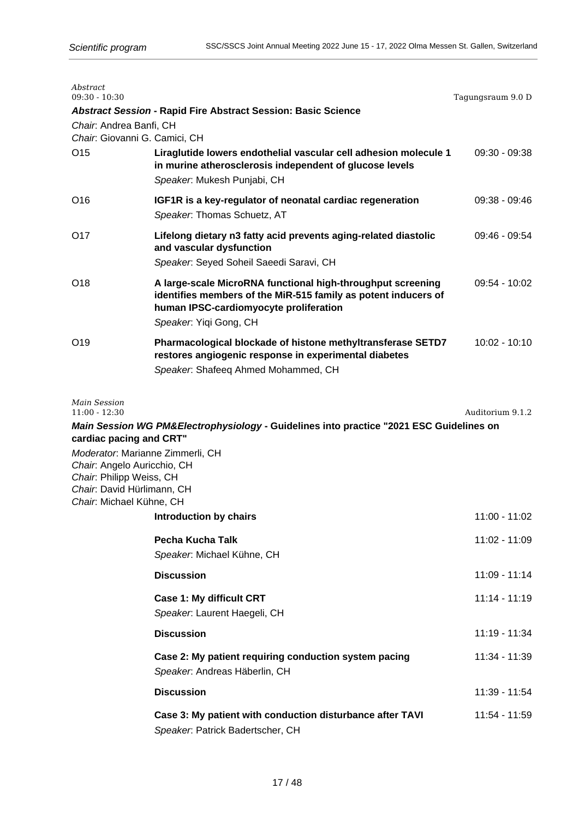| Abstract<br>$09:30 - 10:30$                             |                                                                                                                                                                                                   | Tagungsraum 9.0 D |
|---------------------------------------------------------|---------------------------------------------------------------------------------------------------------------------------------------------------------------------------------------------------|-------------------|
|                                                         | <b>Abstract Session - Rapid Fire Abstract Session: Basic Science</b>                                                                                                                              |                   |
| Chair: Andrea Banfi, CH                                 |                                                                                                                                                                                                   |                   |
| Chair: Giovanni G. Camici, CH                           |                                                                                                                                                                                                   |                   |
| O <sub>15</sub>                                         | Liraglutide lowers endothelial vascular cell adhesion molecule 1<br>in murine atherosclerosis independent of glucose levels<br>Speaker. Mukesh Punjabi, CH                                        | 09:30 - 09:38     |
| O <sub>16</sub>                                         | IGF1R is a key-regulator of neonatal cardiac regeneration<br>Speaker: Thomas Schuetz, AT                                                                                                          | 09:38 - 09:46     |
| O17                                                     | Lifelong dietary n3 fatty acid prevents aging-related diastolic<br>and vascular dysfunction<br>Speaker: Seyed Soheil Saeedi Saravi, CH                                                            | 09:46 - 09:54     |
|                                                         |                                                                                                                                                                                                   |                   |
| O <sub>18</sub>                                         | A large-scale MicroRNA functional high-throughput screening<br>identifies members of the MiR-515 family as potent inducers of<br>human IPSC-cardiomyocyte proliferation<br>Speaker. Yiqi Gong, CH | 09:54 - 10:02     |
| O <sub>19</sub>                                         | Pharmacological blockade of histone methyltransferase SETD7<br>restores angiogenic response in experimental diabetes<br>Speaker. Shafeeq Ahmed Mohammed, CH                                       | $10:02 - 10:10$   |
| <b>Main Session</b><br>$11:00 - 12:30$                  |                                                                                                                                                                                                   | Auditorium 9.1.2  |
|                                                         | Main Session WG PM&Electrophysiology - Guidelines into practice "2021 ESC Guidelines on                                                                                                           |                   |
| cardiac pacing and CRT"                                 |                                                                                                                                                                                                   |                   |
|                                                         | Moderator: Marianne Zimmerli, CH                                                                                                                                                                  |                   |
| Chair: Angelo Auricchio, CH<br>Chair: Philipp Weiss, CH |                                                                                                                                                                                                   |                   |
| Chair: David Hürlimann, CH                              |                                                                                                                                                                                                   |                   |
| Chair: Michael Kühne, CH                                |                                                                                                                                                                                                   |                   |
|                                                         | Introduction by chairs                                                                                                                                                                            | 11:00 - 11:02     |
|                                                         | Pecha Kucha Talk                                                                                                                                                                                  | 11:02 - 11:09     |
|                                                         | Speaker. Michael Kühne, CH                                                                                                                                                                        |                   |
|                                                         | <b>Discussion</b>                                                                                                                                                                                 | 11:09 - 11:14     |
|                                                         | Case 1: My difficult CRT                                                                                                                                                                          | 11:14 - 11:19     |
|                                                         | Speaker. Laurent Haegeli, CH                                                                                                                                                                      |                   |
|                                                         | <b>Discussion</b>                                                                                                                                                                                 | 11:19 - 11:34     |
|                                                         | Case 2: My patient requiring conduction system pacing<br>Speaker: Andreas Häberlin, CH                                                                                                            | 11:34 - 11:39     |
|                                                         | <b>Discussion</b>                                                                                                                                                                                 | 11:39 - 11:54     |
|                                                         | Case 3: My patient with conduction disturbance after TAVI<br>Speaker. Patrick Badertscher, CH                                                                                                     | 11:54 - 11:59     |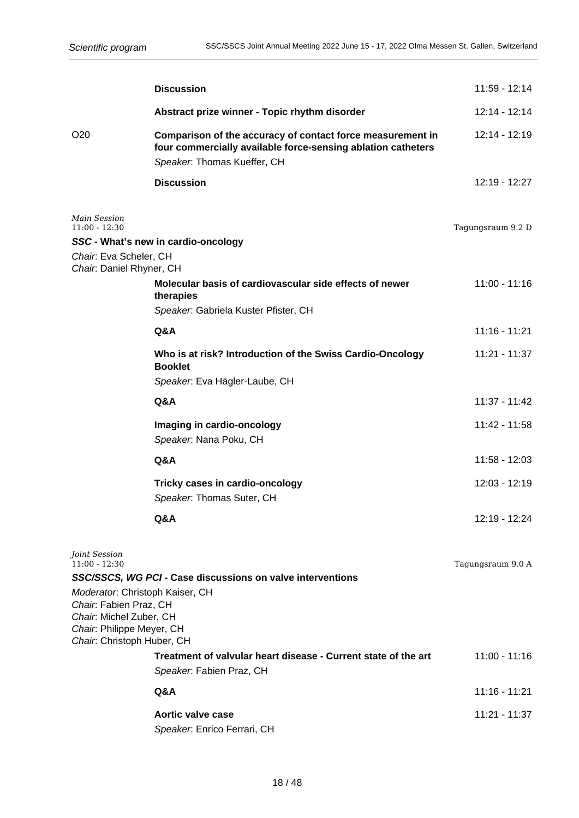|                                                                                                                   | <b>Discussion</b>                                                                                                                                         | 11:59 - 12:14     |
|-------------------------------------------------------------------------------------------------------------------|-----------------------------------------------------------------------------------------------------------------------------------------------------------|-------------------|
|                                                                                                                   | Abstract prize winner - Topic rhythm disorder                                                                                                             | 12:14 - 12:14     |
| O <sub>20</sub>                                                                                                   | Comparison of the accuracy of contact force measurement in<br>four commercially available force-sensing ablation catheters<br>Speaker. Thomas Kueffer, CH | 12:14 - 12:19     |
|                                                                                                                   | <b>Discussion</b>                                                                                                                                         | 12:19 - 12:27     |
| <b>Main Session</b><br>$11:00 - 12:30$                                                                            |                                                                                                                                                           | Tagungsraum 9.2 D |
|                                                                                                                   | SSC - What's new in cardio-oncology                                                                                                                       |                   |
| Chair: Eva Scheler, CH<br>Chair: Daniel Rhyner, CH                                                                |                                                                                                                                                           |                   |
|                                                                                                                   | Molecular basis of cardiovascular side effects of newer<br>therapies                                                                                      | $11:00 - 11:16$   |
|                                                                                                                   | Speaker. Gabriela Kuster Pfister, CH                                                                                                                      |                   |
|                                                                                                                   | Q&A                                                                                                                                                       | $11:16 - 11:21$   |
|                                                                                                                   | Who is at risk? Introduction of the Swiss Cardio-Oncology<br><b>Booklet</b>                                                                               | 11:21 - 11:37     |
|                                                                                                                   | Speaker. Eva Hägler-Laube, CH                                                                                                                             |                   |
|                                                                                                                   | Q&A                                                                                                                                                       | 11:37 - 11:42     |
|                                                                                                                   | Imaging in cardio-oncology<br>Speaker: Nana Poku, CH                                                                                                      | 11:42 - 11:58     |
|                                                                                                                   | Q&A                                                                                                                                                       | 11:58 - 12:03     |
|                                                                                                                   | Tricky cases in cardio-oncology<br>Speaker: Thomas Suter, CH                                                                                              | 12:03 - 12:19     |
|                                                                                                                   | Q&A                                                                                                                                                       | 12:19 - 12:24     |
| Joint Session<br>$11:00 - 12:30$                                                                                  |                                                                                                                                                           | Tagungsraum 9.0 A |
|                                                                                                                   | SSC/SSCS, WG PCI - Case discussions on valve interventions                                                                                                |                   |
| Moderator: Christoph Kaiser, CH<br>Chair: Fabien Praz, CH<br>Chair: Michel Zuber, CH<br>Chair: Philippe Meyer, CH |                                                                                                                                                           |                   |
| Chair. Christoph Huber, CH                                                                                        | Treatment of valvular heart disease - Current state of the art                                                                                            | 11:00 - 11:16     |
|                                                                                                                   | Speaker: Fabien Praz, CH                                                                                                                                  |                   |
|                                                                                                                   | Q&A                                                                                                                                                       | $11:16 - 11:21$   |
|                                                                                                                   | Aortic valve case                                                                                                                                         | 11:21 - 11:37     |
|                                                                                                                   | Speaker. Enrico Ferrari, CH                                                                                                                               |                   |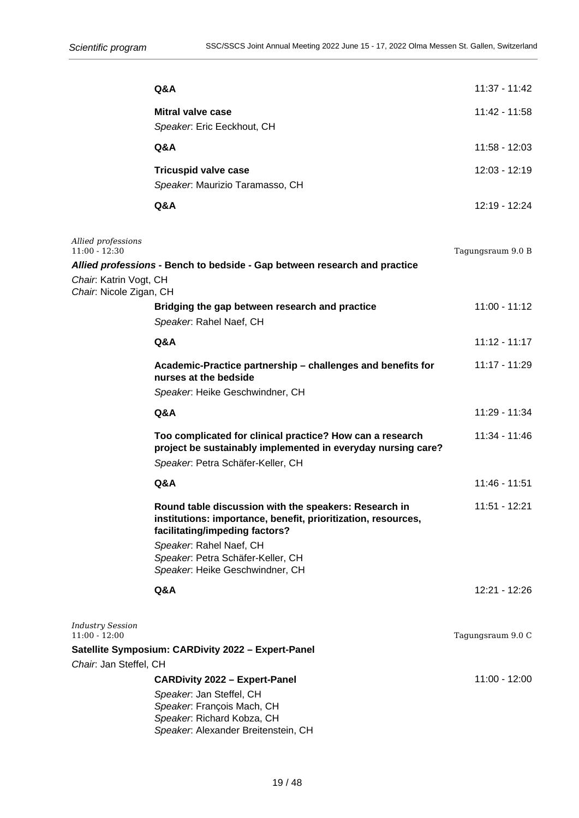| Q&A<br><b>Mitral valve case</b><br>Speaker. Eric Eeckhout, CH<br>Q&A<br><b>Tricuspid valve case</b><br>Speaker. Maurizio Taramasso, CH<br>Q&A<br>Allied professions<br>$11:00 - 12:30$<br>Allied professions - Bench to bedside - Gap between research and practice | 11:37 - 11:42<br>11:42 - 11:58<br>11:58 - 12:03<br>12:03 - 12:19<br>12:19 - 12:24<br>Tagungsraum 9.0 B |
|---------------------------------------------------------------------------------------------------------------------------------------------------------------------------------------------------------------------------------------------------------------------|--------------------------------------------------------------------------------------------------------|
|                                                                                                                                                                                                                                                                     |                                                                                                        |
|                                                                                                                                                                                                                                                                     |                                                                                                        |
|                                                                                                                                                                                                                                                                     |                                                                                                        |
|                                                                                                                                                                                                                                                                     |                                                                                                        |
|                                                                                                                                                                                                                                                                     |                                                                                                        |
|                                                                                                                                                                                                                                                                     |                                                                                                        |
|                                                                                                                                                                                                                                                                     |                                                                                                        |
|                                                                                                                                                                                                                                                                     |                                                                                                        |
|                                                                                                                                                                                                                                                                     |                                                                                                        |
| Chair. Katrin Vogt, CH<br>Chair: Nicole Zigan, CH                                                                                                                                                                                                                   |                                                                                                        |
| Bridging the gap between research and practice                                                                                                                                                                                                                      | $11:00 - 11:12$                                                                                        |
| Speaker. Rahel Naef, CH                                                                                                                                                                                                                                             |                                                                                                        |
| Q&A                                                                                                                                                                                                                                                                 | $11:12 - 11:17$                                                                                        |
| Academic-Practice partnership - challenges and benefits for                                                                                                                                                                                                         | 11:17 - 11:29                                                                                          |
| nurses at the bedside                                                                                                                                                                                                                                               |                                                                                                        |
| Speaker. Heike Geschwindner, CH                                                                                                                                                                                                                                     |                                                                                                        |
| Q&A                                                                                                                                                                                                                                                                 | 11:29 - 11:34                                                                                          |
| Too complicated for clinical practice? How can a research<br>project be sustainably implemented in everyday nursing care?<br>Speaker. Petra Schäfer-Keller, CH                                                                                                      | 11:34 - 11:46                                                                                          |
| Q&A                                                                                                                                                                                                                                                                 | $11:46 - 11:51$                                                                                        |
|                                                                                                                                                                                                                                                                     |                                                                                                        |
| Round table discussion with the speakers: Research in<br>institutions: importance, benefit, prioritization, resources,<br>facilitating/impeding factors?                                                                                                            | 11:51 - 12:21                                                                                          |
| Speaker. Rahel Naef, CH<br>Speaker. Petra Schäfer-Keller, CH<br>Speaker. Heike Geschwindner, CH                                                                                                                                                                     |                                                                                                        |
| Q&A                                                                                                                                                                                                                                                                 | 12:21 - 12:26                                                                                          |
|                                                                                                                                                                                                                                                                     |                                                                                                        |
| <b>Industry Session</b><br>$11:00 - 12:00$                                                                                                                                                                                                                          | Tagungsraum 9.0 C                                                                                      |
| Satellite Symposium: CARDivity 2022 - Expert-Panel                                                                                                                                                                                                                  |                                                                                                        |
| Chair. Jan Steffel, CH                                                                                                                                                                                                                                              |                                                                                                        |
| <b>CARDivity 2022 - Expert-Panel</b>                                                                                                                                                                                                                                | 11:00 - 12:00                                                                                          |
| Speaker. Jan Steffel, CH<br>Speaker. François Mach, CH<br>Speaker. Richard Kobza, CH<br>Speaker. Alexander Breitenstein, CH                                                                                                                                         |                                                                                                        |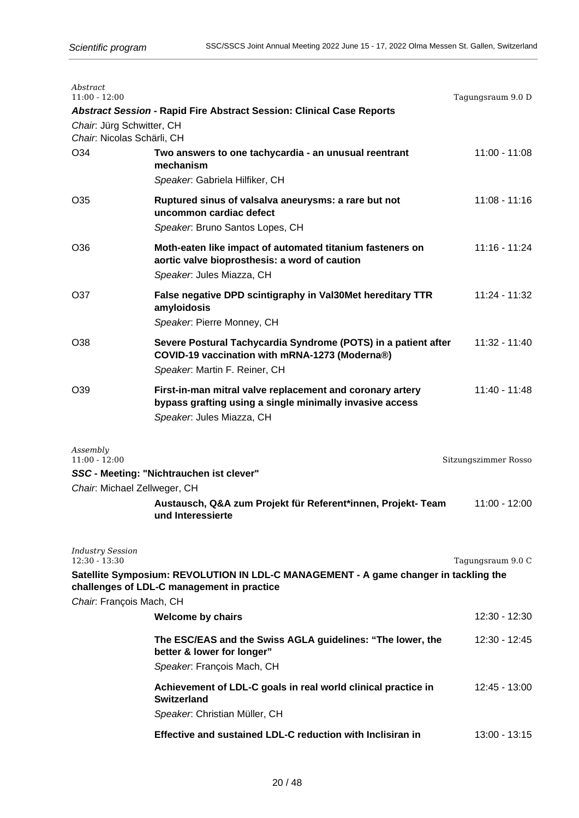| Abstract<br>$11:00 - 12:00$                |                                                                                                                                                    | Tagungsraum 9.0 D    |
|--------------------------------------------|----------------------------------------------------------------------------------------------------------------------------------------------------|----------------------|
| Chair: Jürg Schwitter, CH                  | <b>Abstract Session - Rapid Fire Abstract Session: Clinical Case Reports</b>                                                                       |                      |
| Chair: Nicolas Schärli, CH                 |                                                                                                                                                    |                      |
| O <sub>34</sub>                            | Two answers to one tachycardia - an unusual reentrant<br>mechanism<br>Speaker. Gabriela Hilfiker, CH                                               | 11:00 - 11:08        |
| O <sub>35</sub>                            | Ruptured sinus of valsalva aneurysms: a rare but not<br>uncommon cardiac defect                                                                    | $11:08 - 11:16$      |
|                                            | Speaker. Bruno Santos Lopes, CH                                                                                                                    |                      |
| O36                                        | Moth-eaten like impact of automated titanium fasteners on<br>aortic valve bioprosthesis: a word of caution<br>Speaker. Jules Miazza, CH            | $11:16 - 11:24$      |
| O37                                        | False negative DPD scintigraphy in Val30Met hereditary TTR<br>amyloidosis<br>Speaker. Pierre Monney, CH                                            | 11:24 - 11:32        |
| O38                                        | Severe Postural Tachycardia Syndrome (POTS) in a patient after<br>COVID-19 vaccination with mRNA-1273 (Moderna®)<br>Speaker: Martin F. Reiner, CH  | 11:32 - 11:40        |
| O <sub>39</sub>                            | First-in-man mitral valve replacement and coronary artery<br>bypass grafting using a single minimally invasive access<br>Speaker. Jules Miazza, CH | $11:40 - 11:48$      |
| Assembly<br>$11:00 - 12:00$                |                                                                                                                                                    |                      |
|                                            | SSC - Meeting: "Nichtrauchen ist clever"                                                                                                           | Sitzungszimmer Rosso |
| Chair: Michael Zellweger, CH               |                                                                                                                                                    |                      |
|                                            | Austausch, Q&A zum Projekt für Referent*innen, Projekt- Team<br>und Interessierte                                                                  | 11:00 - 12:00        |
| <b>Industry Session</b><br>$12:30 - 13:30$ |                                                                                                                                                    | Tagungsraum 9.0 C    |
|                                            | Satellite Symposium: REVOLUTION IN LDL-C MANAGEMENT - A game changer in tackling the<br>challenges of LDL-C management in practice                 |                      |
| Chair: François Mach, CH                   |                                                                                                                                                    |                      |
|                                            | <b>Welcome by chairs</b>                                                                                                                           | 12:30 - 12:30        |
|                                            | The ESC/EAS and the Swiss AGLA guidelines: "The lower, the<br>better & lower for longer"<br>Speaker. François Mach, CH                             | 12:30 - 12:45        |
|                                            | Achievement of LDL-C goals in real world clinical practice in<br><b>Switzerland</b><br>Speaker: Christian Müller, CH                               | 12:45 - 13:00        |
|                                            | Effective and sustained LDL-C reduction with Inclisiran in                                                                                         | 13:00 - 13:15        |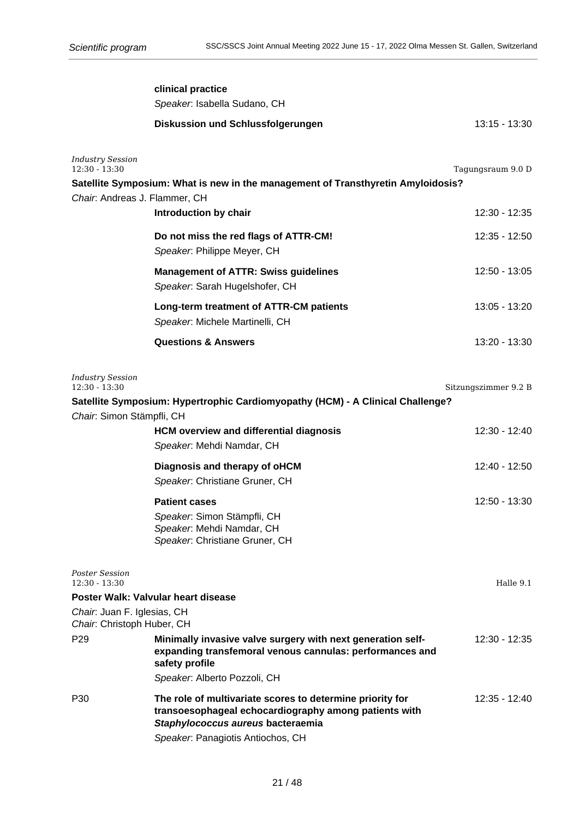| $13:15 - 13:30$      |
|----------------------|
| Tagungsraum 9.0 D    |
|                      |
| 12:30 - 12:35        |
| 12:35 - 12:50        |
| 12:50 - 13:05        |
| 13:05 - 13:20        |
| 13:20 - 13:30        |
| Sitzungszimmer 9.2 B |
|                      |
| 12:30 - 12:40        |
| 12:40 - 12:50        |
| 12:50 - 13:30        |
| Halle 9.1            |
|                      |
|                      |
| 12:30 - 12:35        |
|                      |
| 12:35 - 12:40        |
|                      |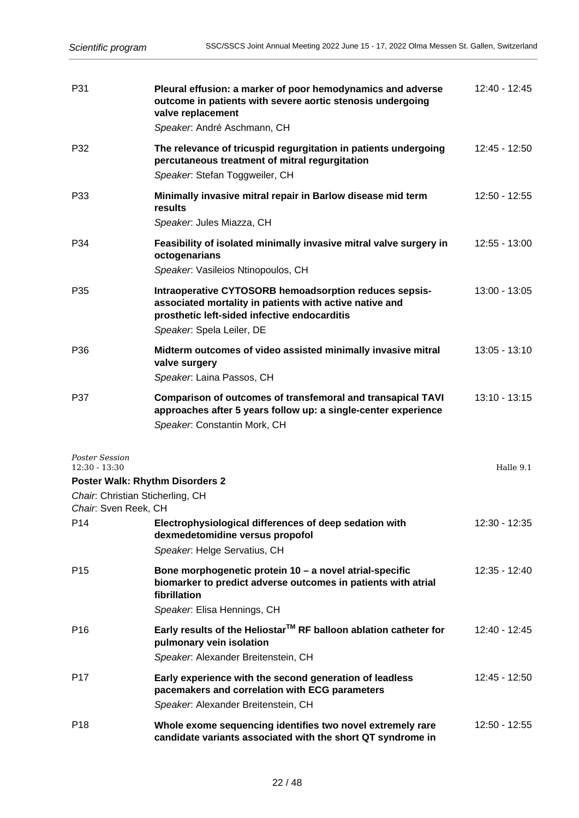| P31                                                      | Pleural effusion: a marker of poor hemodynamics and adverse<br>outcome in patients with severe aortic stenosis undergoing<br>valve replacement<br>Speaker. André Aschmann, CH                  | $12:40 - 12:45$ |
|----------------------------------------------------------|------------------------------------------------------------------------------------------------------------------------------------------------------------------------------------------------|-----------------|
| P32                                                      | The relevance of tricuspid regurgitation in patients undergoing<br>percutaneous treatment of mitral regurgitation<br>Speaker. Stefan Toggweiler, CH                                            | 12:45 - 12:50   |
| P33                                                      | Minimally invasive mitral repair in Barlow disease mid term<br>results<br>Speaker. Jules Miazza, CH                                                                                            | 12:50 - 12:55   |
| P34                                                      | Feasibility of isolated minimally invasive mitral valve surgery in<br>octogenarians<br>Speaker. Vasileios Ntinopoulos, CH                                                                      | 12:55 - 13:00   |
| P35                                                      | Intraoperative CYTOSORB hemoadsorption reduces sepsis-<br>associated mortality in patients with active native and<br>prosthetic left-sided infective endocarditis<br>Speaker. Spela Leiler, DE | 13:00 - 13:05   |
| P36                                                      | Midterm outcomes of video assisted minimally invasive mitral<br>valve surgery<br>Speaker: Laina Passos, CH                                                                                     | $13:05 - 13:10$ |
| P37                                                      | Comparison of outcomes of transfemoral and transapical TAVI<br>approaches after 5 years follow up: a single-center experience<br>Speaker. Constantin Mork, CH                                  | $13:10 - 13:15$ |
| <b>Poster Session</b><br>$12:30 - 13:30$                 |                                                                                                                                                                                                | Halle 9.1       |
|                                                          | <b>Poster Walk: Rhythm Disorders 2</b>                                                                                                                                                         |                 |
| Chair: Christian Sticherling, CH<br>Chair: Sven Reek, CH |                                                                                                                                                                                                |                 |
| P14                                                      | Electrophysiological differences of deep sedation with<br>dexmedetomidine versus propofol                                                                                                      | 12:30 - 12:35   |
|                                                          | Speaker. Helge Servatius, CH                                                                                                                                                                   |                 |
| P <sub>15</sub>                                          | Bone morphogenetic protein 10 - a novel atrial-specific<br>biomarker to predict adverse outcomes in patients with atrial<br>fibrillation<br>Speaker. Elisa Hennings, CH                        | 12:35 - 12:40   |
| P <sub>16</sub>                                          | Early results of the Heliostar™ RF balloon ablation catheter for<br>pulmonary vein isolation                                                                                                   | 12:40 - 12:45   |
|                                                          | Speaker: Alexander Breitenstein, CH                                                                                                                                                            |                 |
| P <sub>17</sub>                                          | Early experience with the second generation of leadless<br>pacemakers and correlation with ECG parameters<br>Speaker. Alexander Breitenstein, CH                                               | 12:45 - 12:50   |
| P <sub>18</sub>                                          | Whole exome sequencing identifies two novel extremely rare<br>candidate variants associated with the short QT syndrome in                                                                      | 12:50 - 12:55   |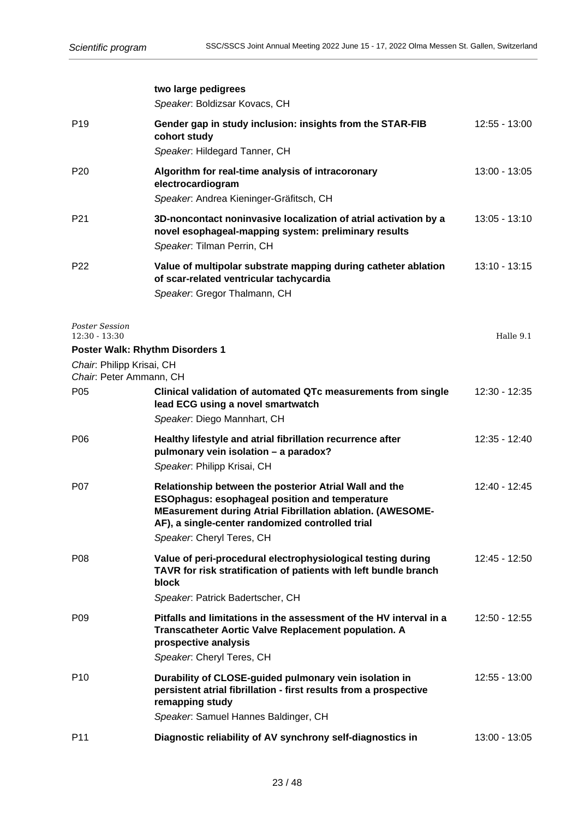|                                                      | two large pedigrees<br>Speaker. Boldizsar Kovacs, CH                                                                                                                                                                                                           |                 |
|------------------------------------------------------|----------------------------------------------------------------------------------------------------------------------------------------------------------------------------------------------------------------------------------------------------------------|-----------------|
| P <sub>19</sub>                                      | Gender gap in study inclusion: insights from the STAR-FIB<br>cohort study<br>Speaker. Hildegard Tanner, CH                                                                                                                                                     | 12:55 - 13:00   |
| P <sub>20</sub>                                      | Algorithm for real-time analysis of intracoronary<br>electrocardiogram<br>Speaker. Andrea Kieninger-Gräfitsch, CH                                                                                                                                              | 13:00 - 13:05   |
| P <sub>21</sub>                                      | 3D-noncontact noninvasive localization of atrial activation by a<br>novel esophageal-mapping system: preliminary results<br>Speaker. Tilman Perrin, CH                                                                                                         | $13:05 - 13:10$ |
| P <sub>22</sub>                                      | Value of multipolar substrate mapping during catheter ablation<br>of scar-related ventricular tachycardia<br>Speaker. Gregor Thalmann, CH                                                                                                                      | $13:10 - 13:15$ |
| Poster Session<br>$12:30 - 13:30$                    |                                                                                                                                                                                                                                                                | Halle 9.1       |
|                                                      | <b>Poster Walk: Rhythm Disorders 1</b>                                                                                                                                                                                                                         |                 |
| Chair: Philipp Krisai, CH<br>Chair: Peter Ammann, CH |                                                                                                                                                                                                                                                                |                 |
| P <sub>05</sub>                                      | Clinical validation of automated QTc measurements from single<br>lead ECG using a novel smartwatch<br>Speaker. Diego Mannhart, CH                                                                                                                              | 12:30 - 12:35   |
| P <sub>06</sub>                                      | Healthy lifestyle and atrial fibrillation recurrence after<br>pulmonary vein isolation - a paradox?<br>Speaker: Philipp Krisai, CH                                                                                                                             | 12:35 - 12:40   |
| P07                                                  | Relationship between the posterior Atrial Wall and the<br><b>ESOphagus: esophageal position and temperature</b><br>MEasurement during Atrial Fibrillation ablation. (AWESOME-<br>AF), a single-center randomized controlled trial<br>Speaker. Cheryl Teres, CH | 12:40 - 12:45   |
| P <sub>08</sub>                                      | Value of peri-procedural electrophysiological testing during<br>TAVR for risk stratification of patients with left bundle branch<br>block<br>Speaker. Patrick Badertscher, CH                                                                                  | 12:45 - 12:50   |
| P <sub>09</sub>                                      | Pitfalls and limitations in the assessment of the HV interval in a<br>Transcatheter Aortic Valve Replacement population. A<br>prospective analysis<br>Speaker. Cheryl Teres, CH                                                                                | 12:50 - 12:55   |
| P <sub>10</sub>                                      | Durability of CLOSE-guided pulmonary vein isolation in<br>persistent atrial fibrillation - first results from a prospective<br>remapping study                                                                                                                 | 12:55 - 13:00   |

P11 **Diagnostic reliability of AV synchrony self-diagnostics in** 13:00 - 13:05

Speaker: Samuel Hannes Baldinger, CH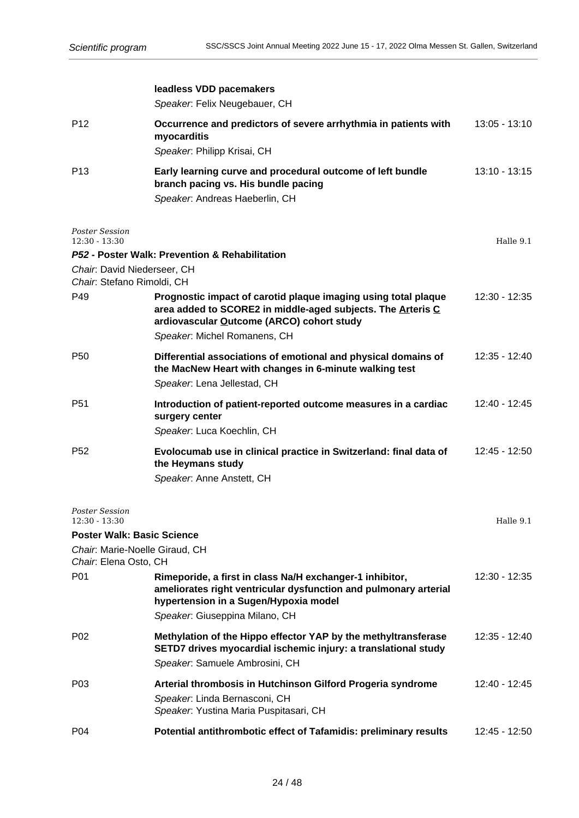|                                                         | leadless VDD pacemakers<br>Speaker. Felix Neugebauer, CH                                                                                                                                                   |                 |
|---------------------------------------------------------|------------------------------------------------------------------------------------------------------------------------------------------------------------------------------------------------------------|-----------------|
| P <sub>12</sub>                                         | Occurrence and predictors of severe arrhythmia in patients with<br>myocarditis<br>Speaker. Philipp Krisai, CH                                                                                              | $13:05 - 13:10$ |
| P <sub>13</sub>                                         | Early learning curve and procedural outcome of left bundle<br>branch pacing vs. His bundle pacing<br>Speaker. Andreas Haeberlin, CH                                                                        | $13:10 - 13:15$ |
| Poster Session<br>$12:30 - 13:30$                       |                                                                                                                                                                                                            | Halle 9.1       |
| Chair: David Niederseer, CH                             | P52 - Poster Walk: Prevention & Rehabilitation                                                                                                                                                             |                 |
| Chair: Stefano Rimoldi, CH                              |                                                                                                                                                                                                            |                 |
| P49                                                     | Prognostic impact of carotid plaque imaging using total plaque<br>area added to SCORE2 in middle-aged subjects. The Arteris C<br>ardiovascular Outcome (ARCO) cohort study<br>Speaker. Michel Romanens, CH | $12:30 - 12:35$ |
| P <sub>50</sub>                                         | Differential associations of emotional and physical domains of<br>the MacNew Heart with changes in 6-minute walking test<br>Speaker. Lena Jellestad, CH                                                    | 12:35 - 12:40   |
| P <sub>51</sub>                                         | Introduction of patient-reported outcome measures in a cardiac<br>surgery center                                                                                                                           | 12:40 - 12:45   |
|                                                         | Speaker. Luca Koechlin, CH                                                                                                                                                                                 |                 |
| P <sub>52</sub>                                         | Evolocumab use in clinical practice in Switzerland: final data of<br>the Heymans study<br>Speaker. Anne Anstett, CH                                                                                        | 12:45 - 12:50   |
| <b>Poster Session</b><br>$12:30 - 13:30$                |                                                                                                                                                                                                            | Halle 9.1       |
| <b>Poster Walk: Basic Science</b>                       |                                                                                                                                                                                                            |                 |
| Chair. Marie-Noelle Giraud, CH<br>Chair: Elena Osto, CH |                                                                                                                                                                                                            |                 |
| P01                                                     | Rimeporide, a first in class Na/H exchanger-1 inhibitor,<br>ameliorates right ventricular dysfunction and pulmonary arterial<br>hypertension in a Sugen/Hypoxia model<br>Speaker. Giuseppina Milano, CH    | 12:30 - 12:35   |
| P <sub>02</sub>                                         | Methylation of the Hippo effector YAP by the methyltransferase<br>SETD7 drives myocardial ischemic injury: a translational study<br>Speaker. Samuele Ambrosini, CH                                         | 12:35 - 12:40   |
| P <sub>03</sub>                                         | Arterial thrombosis in Hutchinson Gilford Progeria syndrome<br>Speaker. Linda Bernasconi, CH<br>Speaker. Yustina Maria Puspitasari, CH                                                                     | 12:40 - 12:45   |
| P04                                                     | Potential antithrombotic effect of Tafamidis: preliminary results                                                                                                                                          | 12:45 - 12:50   |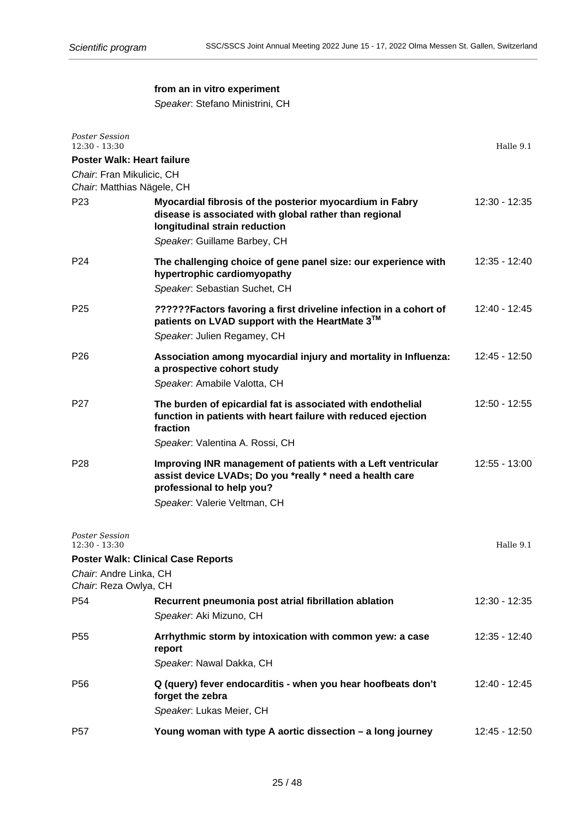# **from an in vitro experiment**

Speaker: Stefano Ministrini, CH

| <b>Poster Session</b><br>$12:30 - 13:30$                |                                                                                                                                                                                       | Halle 9.1       |
|---------------------------------------------------------|---------------------------------------------------------------------------------------------------------------------------------------------------------------------------------------|-----------------|
| <b>Poster Walk: Heart failure</b>                       |                                                                                                                                                                                       |                 |
| Chair. Fran Mikulicic, CH<br>Chair. Matthias Nägele, CH |                                                                                                                                                                                       |                 |
| P <sub>23</sub>                                         | Myocardial fibrosis of the posterior myocardium in Fabry<br>disease is associated with global rather than regional<br>longitudinal strain reduction<br>Speaker: Guillame Barbey, CH   | $12:30 - 12:35$ |
| P <sub>24</sub>                                         | The challenging choice of gene panel size: our experience with<br>hypertrophic cardiomyopathy<br>Speaker. Sebastian Suchet, CH                                                        | 12:35 - 12:40   |
| P <sub>25</sub>                                         | ??????Factors favoring a first driveline infection in a cohort of<br>patients on LVAD support with the HeartMate 3™<br>Speaker. Julien Regamey, CH                                    | $12:40 - 12:45$ |
| P <sub>26</sub>                                         | Association among myocardial injury and mortality in Influenza:<br>a prospective cohort study<br>Speaker. Amabile Valotta, CH                                                         | $12:45 - 12:50$ |
| P <sub>27</sub>                                         | The burden of epicardial fat is associated with endothelial<br>function in patients with heart failure with reduced ejection<br>fraction<br>Speaker: Valentina A. Rossi, CH           | 12:50 - 12:55   |
| P <sub>28</sub>                                         | Improving INR management of patients with a Left ventricular<br>assist device LVADs; Do you *really * need a health care<br>professional to help you?<br>Speaker. Valerie Veltman, CH | $12:55 - 13:00$ |
| <b>Poster Session</b><br>$12:30 - 13:30$                |                                                                                                                                                                                       | Halle 9.1       |
|                                                         | <b>Poster Walk: Clinical Case Reports</b>                                                                                                                                             |                 |
| Chair: Andre Linka, CH                                  |                                                                                                                                                                                       |                 |
| Chair: Reza Owlya, CH<br>P54                            | Recurrent pneumonia post atrial fibrillation ablation<br>Speaker: Aki Mizuno, CH                                                                                                      | 12:30 - 12:35   |
| P <sub>55</sub>                                         | Arrhythmic storm by intoxication with common yew: a case<br>report<br>Speaker: Nawal Dakka, CH                                                                                        | 12:35 - 12:40   |
| P56                                                     | Q (query) fever endocarditis - when you hear hoofbeats don't<br>forget the zebra<br>Speaker: Lukas Meier, CH                                                                          | 12:40 - 12:45   |
| P <sub>57</sub>                                         | Young woman with type A aortic dissection - a long journey                                                                                                                            | 12:45 - 12:50   |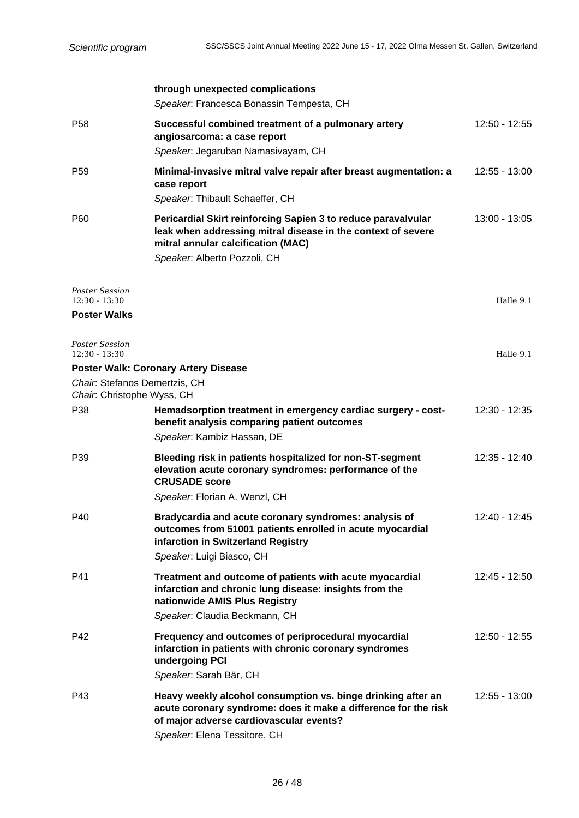|                                                                 | through unexpected complications<br>Speaker. Francesca Bonassin Tempesta, CH                                                                                                                               |                 |
|-----------------------------------------------------------------|------------------------------------------------------------------------------------------------------------------------------------------------------------------------------------------------------------|-----------------|
| P <sub>58</sub>                                                 | Successful combined treatment of a pulmonary artery<br>angiosarcoma: a case report<br>Speaker. Jegaruban Namasivayam, CH                                                                                   | 12:50 - 12:55   |
| P <sub>59</sub>                                                 | Minimal-invasive mitral valve repair after breast augmentation: a<br>case report<br>Speaker. Thibault Schaeffer, CH                                                                                        | $12:55 - 13:00$ |
| P60                                                             | Pericardial Skirt reinforcing Sapien 3 to reduce paravalvular<br>leak when addressing mitral disease in the context of severe<br>mitral annular calcification (MAC)<br>Speaker. Alberto Pozzoli, CH        | 13:00 - 13:05   |
| <b>Poster Session</b><br>$12:30 - 13:30$<br><b>Poster Walks</b> |                                                                                                                                                                                                            | Halle 9.1       |
| <b>Poster Session</b><br>$12:30 - 13:30$                        |                                                                                                                                                                                                            | Halle 9.1       |
| Chair. Stefanos Demertzis, CH                                   | <b>Poster Walk: Coronary Artery Disease</b>                                                                                                                                                                |                 |
| Chair. Christophe Wyss, CH<br>P38                               | Hemadsorption treatment in emergency cardiac surgery - cost-<br>benefit analysis comparing patient outcomes<br>Speaker. Kambiz Hassan, DE                                                                  | 12:30 - 12:35   |
| P39                                                             | Bleeding risk in patients hospitalized for non-ST-segment<br>elevation acute coronary syndromes: performance of the<br><b>CRUSADE</b> score<br>Speaker. Florian A. Wenzl, CH                               | 12:35 - 12:40   |
| P40                                                             | Bradycardia and acute coronary syndromes: analysis of<br>outcomes from 51001 patients enrolled in acute myocardial<br>infarction in Switzerland Registry<br>Speaker. Luigi Biasco, CH                      | 12:40 - 12:45   |
| P41                                                             | Treatment and outcome of patients with acute myocardial<br>infarction and chronic lung disease: insights from the<br>nationwide AMIS Plus Registry<br>Speaker. Claudia Beckmann, CH                        | 12:45 - 12:50   |
| P42                                                             | Frequency and outcomes of periprocedural myocardial<br>infarction in patients with chronic coronary syndromes<br>undergoing PCI<br>Speaker: Sarah Bär, CH                                                  | 12:50 - 12:55   |
| P43                                                             | Heavy weekly alcohol consumption vs. binge drinking after an<br>acute coronary syndrome: does it make a difference for the risk<br>of major adverse cardiovascular events?<br>Speaker: Elena Tessitore, CH | 12:55 - 13:00   |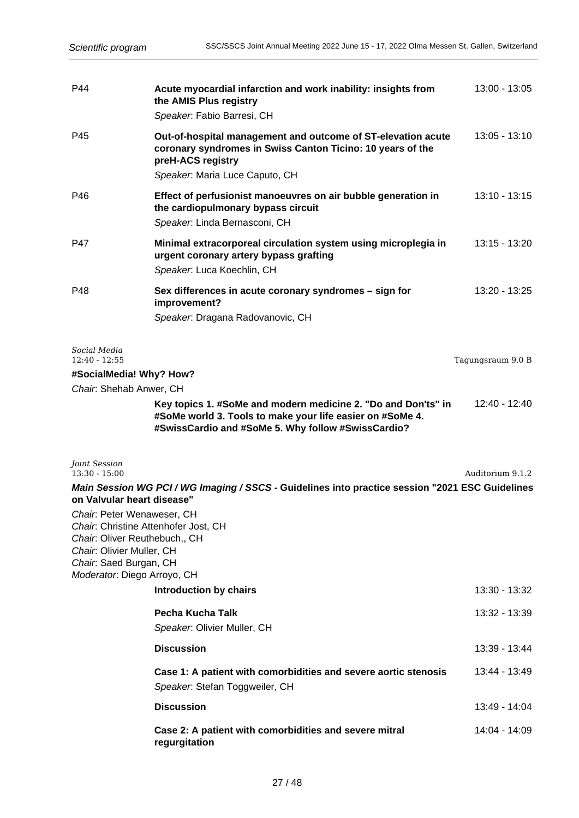| P44                                                                                                                                               | Acute myocardial infarction and work inability: insights from<br>the AMIS Plus registry<br>Speaker. Fabio Barresi, CH                                                            | 13:00 - 13:05     |
|---------------------------------------------------------------------------------------------------------------------------------------------------|----------------------------------------------------------------------------------------------------------------------------------------------------------------------------------|-------------------|
| P45                                                                                                                                               | Out-of-hospital management and outcome of ST-elevation acute<br>coronary syndromes in Swiss Canton Ticino: 10 years of the<br>preH-ACS registry                                  | $13:05 - 13:10$   |
|                                                                                                                                                   | Speaker: Maria Luce Caputo, CH                                                                                                                                                   |                   |
| P46                                                                                                                                               | Effect of perfusionist manoeuvres on air bubble generation in<br>the cardiopulmonary bypass circuit<br>Speaker. Linda Bernasconi, CH                                             | $13:10 - 13:15$   |
| P47                                                                                                                                               | Minimal extracorporeal circulation system using microplegia in<br>urgent coronary artery bypass grafting<br>Speaker. Luca Koechlin, CH                                           | 13:15 - 13:20     |
| P48                                                                                                                                               | Sex differences in acute coronary syndromes - sign for<br>improvement?<br>Speaker. Dragana Radovanovic, CH                                                                       | 13:20 - 13:25     |
| Social Media<br>$12:40 - 12:55$                                                                                                                   |                                                                                                                                                                                  | Tagungsraum 9.0 B |
| #SocialMedia! Why? How?                                                                                                                           |                                                                                                                                                                                  |                   |
| Chair: Shehab Anwer, CH                                                                                                                           |                                                                                                                                                                                  |                   |
|                                                                                                                                                   | Key topics 1. #SoMe and modern medicine 2. "Do and Don'ts" in<br>#SoMe world 3. Tools to make your life easier on #SoMe 4.<br>#SwissCardio and #SoMe 5. Why follow #SwissCardio? | 12:40 - 12:40     |
| Joint Session<br>$13:30 - 15:00$                                                                                                                  |                                                                                                                                                                                  | Auditorium 9.1.2  |
| on Valvular heart disease"                                                                                                                        | Main Session WG PCI / WG Imaging / SSCS - Guidelines into practice session "2021 ESC Guidelines                                                                                  |                   |
| Chair. Peter Wenaweser, CH<br>Chair. Oliver Reuthebuch,, CH<br>Chair. Olivier Muller, CH<br>Chair: Saed Burgan, CH<br>Moderator: Diego Arroyo, CH | Chair. Christine Attenhofer Jost, CH                                                                                                                                             |                   |
|                                                                                                                                                   | <b>Introduction by chairs</b>                                                                                                                                                    | 13:30 - 13:32     |
|                                                                                                                                                   | Pecha Kucha Talk<br>Speaker. Olivier Muller, CH                                                                                                                                  | 13:32 - 13:39     |
|                                                                                                                                                   | <b>Discussion</b>                                                                                                                                                                | 13:39 - 13:44     |
|                                                                                                                                                   | Case 1: A patient with comorbidities and severe aortic stenosis<br>Speaker. Stefan Toggweiler, CH                                                                                | 13:44 - 13:49     |
|                                                                                                                                                   | <b>Discussion</b>                                                                                                                                                                | 13:49 - 14:04     |
|                                                                                                                                                   | Case 2: A patient with comorbidities and severe mitral<br>regurgitation                                                                                                          | 14:04 - 14:09     |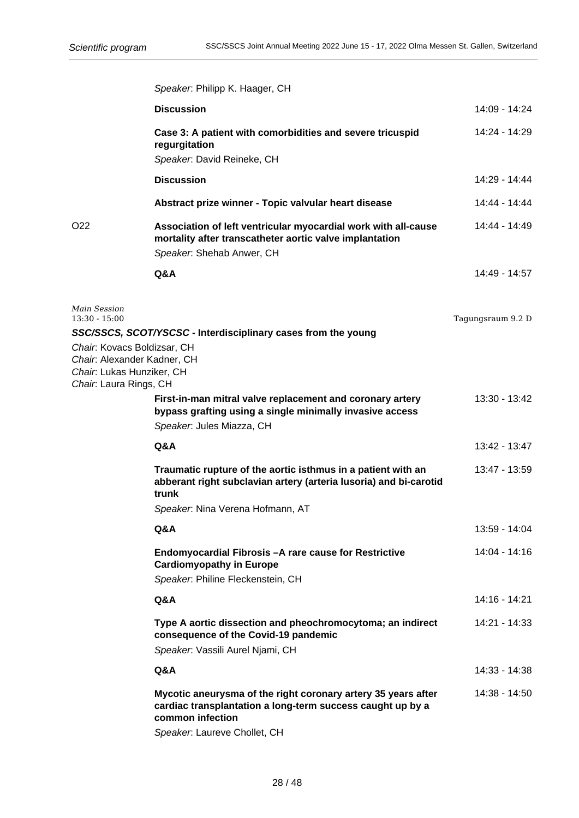|                                                                                                                   | Speaker. Philipp K. Haager, CH                                                                                                                                                  |                   |
|-------------------------------------------------------------------------------------------------------------------|---------------------------------------------------------------------------------------------------------------------------------------------------------------------------------|-------------------|
|                                                                                                                   | <b>Discussion</b>                                                                                                                                                               | 14:09 - 14:24     |
|                                                                                                                   | Case 3: A patient with comorbidities and severe tricuspid<br>regurgitation<br>Speaker. David Reineke, CH                                                                        | 14:24 - 14:29     |
|                                                                                                                   | <b>Discussion</b>                                                                                                                                                               | 14:29 - 14:44     |
|                                                                                                                   | Abstract prize winner - Topic valvular heart disease                                                                                                                            | 14:44 - 14:44     |
| O <sub>22</sub>                                                                                                   | Association of left ventricular myocardial work with all-cause<br>mortality after transcatheter aortic valve implantation<br>Speaker. Shehab Anwer, CH                          | 14:44 - 14:49     |
|                                                                                                                   | Q&A                                                                                                                                                                             | 14:49 - 14:57     |
|                                                                                                                   |                                                                                                                                                                                 |                   |
| <b>Main Session</b><br>$13:30 - 15:00$                                                                            |                                                                                                                                                                                 | Tagungsraum 9.2 D |
|                                                                                                                   | SSC/SSCS, SCOT/YSCSC - Interdisciplinary cases from the young                                                                                                                   |                   |
| Chair: Kovacs Boldizsar, CH<br>Chair. Alexander Kadner, CH<br>Chair: Lukas Hunziker, CH<br>Chair: Laura Rings, CH |                                                                                                                                                                                 |                   |
|                                                                                                                   | First-in-man mitral valve replacement and coronary artery<br>bypass grafting using a single minimally invasive access<br>Speaker. Jules Miazza, CH                              | 13:30 - 13:42     |
|                                                                                                                   |                                                                                                                                                                                 |                   |
|                                                                                                                   | Q&A                                                                                                                                                                             | 13:42 - 13:47     |
|                                                                                                                   | Traumatic rupture of the aortic isthmus in a patient with an<br>abberant right subclavian artery (arteria lusoria) and bi-carotid<br>trunk                                      | 13:47 - 13:59     |
|                                                                                                                   | Speaker: Nina Verena Hofmann, AT                                                                                                                                                |                   |
|                                                                                                                   | Q&A                                                                                                                                                                             | 13:59 - 14:04     |
|                                                                                                                   | Endomyocardial Fibrosis - A rare cause for Restrictive<br><b>Cardiomyopathy in Europe</b><br>Speaker. Philine Fleckenstein, CH                                                  | 14:04 - 14:16     |
|                                                                                                                   | Q&A                                                                                                                                                                             | 14:16 - 14:21     |
|                                                                                                                   | Type A aortic dissection and pheochromocytoma; an indirect<br>consequence of the Covid-19 pandemic<br>Speaker. Vassili Aurel Njami, CH                                          | 14:21 - 14:33     |
|                                                                                                                   | Q&A                                                                                                                                                                             | 14:33 - 14:38     |
|                                                                                                                   |                                                                                                                                                                                 |                   |
|                                                                                                                   | Mycotic aneurysma of the right coronary artery 35 years after<br>cardiac transplantation a long-term success caught up by a<br>common infection<br>Speaker. Laureve Chollet, CH | 14:38 - 14:50     |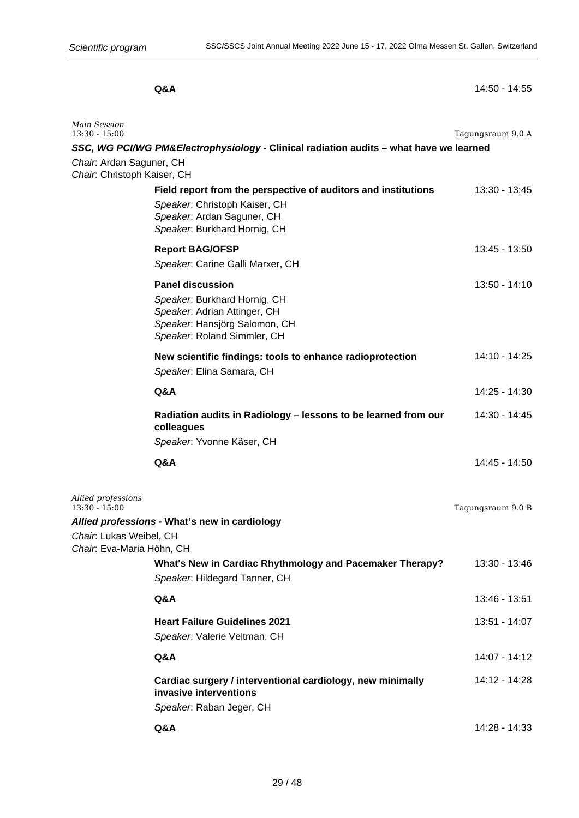**Q&A** 14:50 - 14:55

| Main Session<br>$13:30 - 15:00$                                                                                   |                                                                                                                                                               | Tagungsraum 9.0 A |
|-------------------------------------------------------------------------------------------------------------------|---------------------------------------------------------------------------------------------------------------------------------------------------------------|-------------------|
| Chair. Ardan Saguner, CH<br>Chair. Christoph Kaiser, CH                                                           | SSC, WG PCI/WG PM&Electrophysiology - Clinical radiation audits - what have we learned                                                                        |                   |
|                                                                                                                   | Field report from the perspective of auditors and institutions<br>Speaker. Christoph Kaiser, CH<br>Speaker: Ardan Saguner, CH<br>Speaker. Burkhard Hornig, CH | 13:30 - 13:45     |
|                                                                                                                   | <b>Report BAG/OFSP</b>                                                                                                                                        | 13:45 - 13:50     |
|                                                                                                                   | Speaker. Carine Galli Marxer, CH                                                                                                                              |                   |
|                                                                                                                   | <b>Panel discussion</b><br>Speaker. Burkhard Hornig, CH<br>Speaker. Adrian Attinger, CH<br>Speaker. Hansjörg Salomon, CH<br>Speaker. Roland Simmler, CH       | $13:50 - 14:10$   |
|                                                                                                                   | New scientific findings: tools to enhance radioprotection<br>Speaker. Elina Samara, CH                                                                        | 14:10 - 14:25     |
|                                                                                                                   | Q&A                                                                                                                                                           | 14:25 - 14:30     |
|                                                                                                                   | Radiation audits in Radiology - lessons to be learned from our<br>colleagues<br>Speaker. Yvonne Käser, CH                                                     | 14:30 - 14:45     |
|                                                                                                                   | <b>Q&amp;A</b>                                                                                                                                                | 14:45 - 14:50     |
|                                                                                                                   |                                                                                                                                                               |                   |
| Allied professions<br>$13:30 - 15:00$<br>Allied professions - What's new in cardiology<br>Chair: Lukas Weibel, CH |                                                                                                                                                               | Tagungsraum 9.0 B |
| Chair: Eva-Maria Höhn, CH                                                                                         | What's New in Cardiac Rhythmology and Pacemaker Therapy?<br>Speaker: Hildegard Tanner, CH                                                                     | 13:30 - 13:46     |
|                                                                                                                   | Q&A                                                                                                                                                           | 13:46 - 13:51     |
|                                                                                                                   | <b>Heart Failure Guidelines 2021</b><br>Speaker. Valerie Veltman, CH                                                                                          | 13:51 - 14:07     |
|                                                                                                                   | Q&A                                                                                                                                                           | 14:07 - 14:12     |
|                                                                                                                   | Cardiac surgery / interventional cardiology, new minimally<br>invasive interventions<br>Speaker. Raban Jeger, CH                                              | 14:12 - 14:28     |
|                                                                                                                   | Q&A                                                                                                                                                           | 14:28 - 14:33     |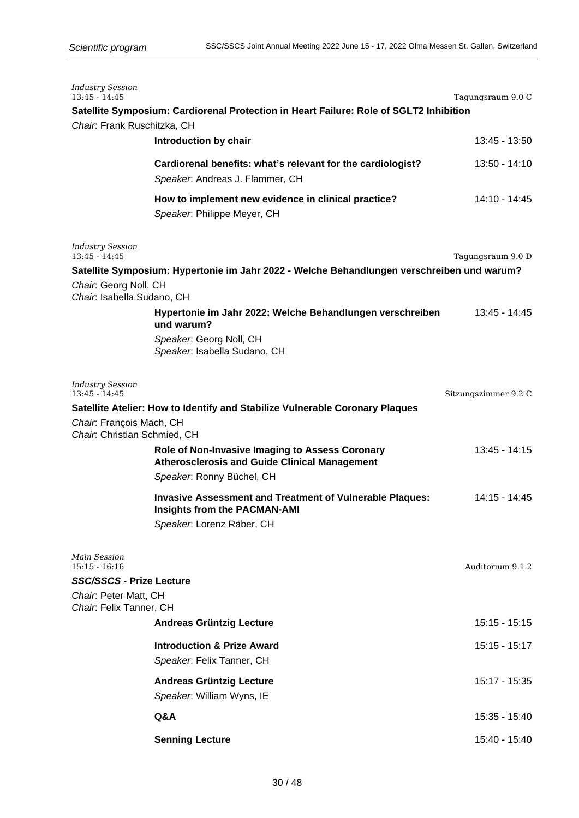| <b>Industry Session</b><br>$13:45 - 14:45$                                           | Satellite Symposium: Cardiorenal Protection in Heart Failure: Role of SGLT2 Inhibition                                              | Tagungsraum 9.0 C    |
|--------------------------------------------------------------------------------------|-------------------------------------------------------------------------------------------------------------------------------------|----------------------|
| Chair: Frank Ruschitzka, CH                                                          |                                                                                                                                     |                      |
|                                                                                      | Introduction by chair                                                                                                               | 13:45 - 13:50        |
|                                                                                      | Cardiorenal benefits: what's relevant for the cardiologist?<br>Speaker. Andreas J. Flammer, CH                                      | 13:50 - 14:10        |
|                                                                                      | How to implement new evidence in clinical practice?<br>Speaker. Philippe Meyer, CH                                                  | 14:10 - 14:45        |
| <b>Industry Session</b><br>$13:45 - 14:45$                                           |                                                                                                                                     | Tagungsraum 9.0 D    |
|                                                                                      | Satellite Symposium: Hypertonie im Jahr 2022 - Welche Behandlungen verschreiben und warum?                                          |                      |
| Chair: Georg Noll, CH<br>Chair. Isabella Sudano, CH                                  |                                                                                                                                     |                      |
|                                                                                      | Hypertonie im Jahr 2022: Welche Behandlungen verschreiben<br>und warum?                                                             | 13:45 - 14:45        |
|                                                                                      | Speaker: Georg Noll, CH<br>Speaker. Isabella Sudano, CH                                                                             |                      |
| <b>Industry Session</b><br>$13:45 - 14:45$                                           |                                                                                                                                     | Sitzungszimmer 9.2 C |
| Chair: François Mach, CH<br>Chair: Christian Schmied, CH                             | Satellite Atelier: How to Identify and Stabilize Vulnerable Coronary Plaques                                                        |                      |
|                                                                                      | Role of Non-Invasive Imaging to Assess Coronary<br><b>Atherosclerosis and Guide Clinical Management</b>                             | 13:45 - 14:15        |
|                                                                                      | Speaker: Ronny Büchel, CH                                                                                                           |                      |
|                                                                                      | <b>Invasive Assessment and Treatment of Vulnerable Plaques:</b><br><b>Insights from the PACMAN-AMI</b><br>Speaker. Lorenz Räber, CH | 14:15 - 14:45        |
| Main Session<br>$15:15 - 16:16$<br>SSC/SSCS - Prize Lecture<br>Chair: Peter Matt, CH |                                                                                                                                     | Auditorium 9.1.2     |
| Chair: Felix Tanner, CH                                                              | <b>Andreas Grüntzig Lecture</b>                                                                                                     | $15:15 - 15:15$      |
|                                                                                      | <b>Introduction &amp; Prize Award</b><br>Speaker: Felix Tanner, CH                                                                  | 15:15 - 15:17        |
|                                                                                      | <b>Andreas Grüntzig Lecture</b><br>Speaker. William Wyns, IE                                                                        | 15:17 - 15:35        |
|                                                                                      | Q&A                                                                                                                                 | 15:35 - 15:40        |
|                                                                                      | <b>Senning Lecture</b>                                                                                                              | 15:40 - 15:40        |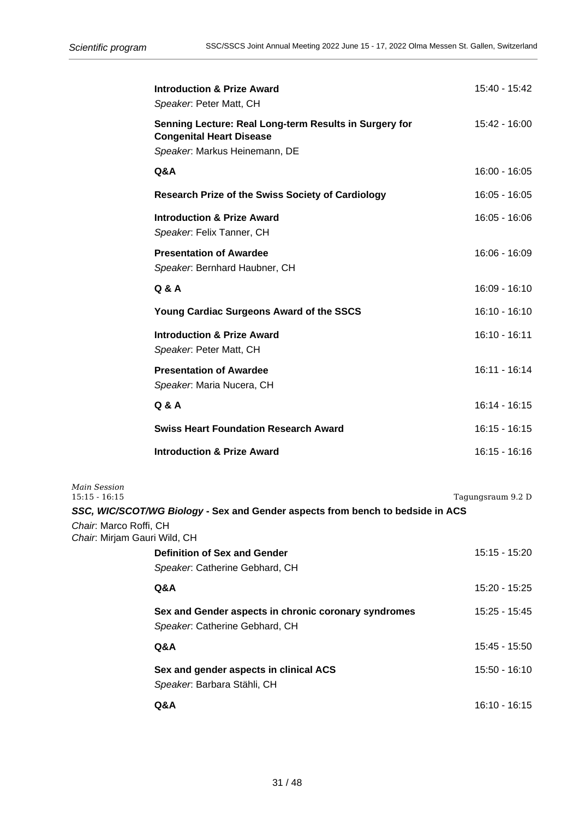|                                                           | <b>Introduction &amp; Prize Award</b><br>Speaker. Peter Matt, CH                                                           | 15:40 - 15:42     |
|-----------------------------------------------------------|----------------------------------------------------------------------------------------------------------------------------|-------------------|
|                                                           | Senning Lecture: Real Long-term Results in Surgery for<br><b>Congenital Heart Disease</b><br>Speaker. Markus Heinemann, DE | 15:42 - 16:00     |
|                                                           | Q&A                                                                                                                        | $16:00 - 16:05$   |
|                                                           | <b>Research Prize of the Swiss Society of Cardiology</b>                                                                   | 16:05 - 16:05     |
|                                                           | <b>Introduction &amp; Prize Award</b><br>Speaker. Felix Tanner, CH                                                         | 16:05 - 16:06     |
|                                                           | <b>Presentation of Awardee</b><br>Speaker. Bernhard Haubner, CH                                                            | $16:06 - 16:09$   |
|                                                           | <b>Q &amp; A</b>                                                                                                           | 16:09 - 16:10     |
|                                                           | Young Cardiac Surgeons Award of the SSCS                                                                                   | $16:10 - 16:10$   |
|                                                           | <b>Introduction &amp; Prize Award</b><br>Speaker. Peter Matt, CH                                                           | $16:10 - 16:11$   |
|                                                           | <b>Presentation of Awardee</b><br>Speaker. Maria Nucera, CH                                                                | $16:11 - 16:14$   |
|                                                           | Q & A                                                                                                                      | 16:14 - 16:15     |
|                                                           | <b>Swiss Heart Foundation Research Award</b>                                                                               | $16:15 - 16:15$   |
|                                                           | <b>Introduction &amp; Prize Award</b>                                                                                      | $16:15 - 16:16$   |
| Main Session<br>$15:15 - 16:15$<br>Chair. Marco Roffi, CH | SSC, WIC/SCOT/WG Biology - Sex and Gender aspects from bench to bedside in ACS                                             | Tagungsraum 9.2 D |
| Chair: Mirjam Gauri Wild, CH                              | <b>Definition of Sex and Gender</b>                                                                                        | 15:15 - 15:20     |
|                                                           | Speaker. Catherine Gebhard, CH                                                                                             |                   |
|                                                           | Q&A                                                                                                                        | 15:20 - 15:25     |
|                                                           | Sex and Gender aspects in chronic coronary syndromes<br>Speaker. Catherine Gebhard, CH                                     | 15:25 - 15:45     |
|                                                           | Q&A                                                                                                                        | 15:45 - 15:50     |
|                                                           | Sex and gender aspects in clinical ACS<br>Speaker. Barbara Stähli, CH                                                      | 15:50 - 16:10     |
|                                                           | Q&A                                                                                                                        | 16:10 - 16:15     |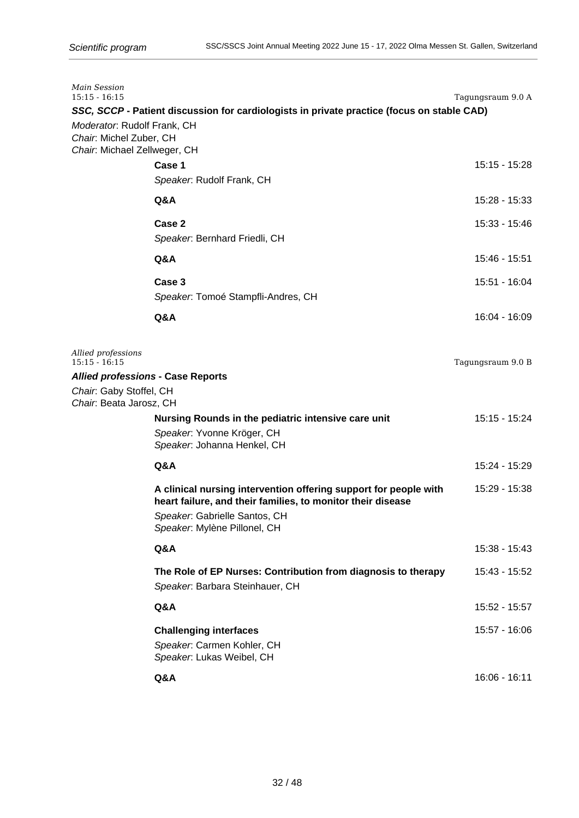| Main Session<br>$15:15 - 16:15$                                                        |                                                                                                                                                                                                  | Tagungsraum 9.0 A |
|----------------------------------------------------------------------------------------|--------------------------------------------------------------------------------------------------------------------------------------------------------------------------------------------------|-------------------|
| Moderator: Rudolf Frank, CH<br>Chair. Michel Zuber, CH<br>Chair. Michael Zellweger, CH | SSC, SCCP - Patient discussion for cardiologists in private practice (focus on stable CAD)                                                                                                       |                   |
|                                                                                        | Case 1<br>Speaker. Rudolf Frank, CH                                                                                                                                                              | 15:15 - 15:28     |
|                                                                                        | Q&A                                                                                                                                                                                              | 15:28 - 15:33     |
|                                                                                        | Case 2<br>Speaker. Bernhard Friedli, CH                                                                                                                                                          | 15:33 - 15:46     |
|                                                                                        | Q&A                                                                                                                                                                                              | 15:46 - 15:51     |
|                                                                                        | Case 3<br>Speaker. Tomoé Stampfli-Andres, CH                                                                                                                                                     | 15:51 - 16:04     |
|                                                                                        | Q&A                                                                                                                                                                                              | 16:04 - 16:09     |
| Allied professions<br>$15:15 - 16:15$<br><b>Allied professions - Case Reports</b>      |                                                                                                                                                                                                  | Tagungsraum 9.0 B |
| Chair. Gaby Stoffel, CH<br>Chair: Beata Jarosz, CH                                     |                                                                                                                                                                                                  |                   |
|                                                                                        | Nursing Rounds in the pediatric intensive care unit<br>Speaker. Yvonne Kröger, CH<br>Speaker. Johanna Henkel, CH                                                                                 | 15:15 - 15:24     |
|                                                                                        | Q&A                                                                                                                                                                                              | 15:24 - 15:29     |
|                                                                                        | A clinical nursing intervention offering support for people with<br>heart failure, and their families, to monitor their disease<br>Speaker. Gabrielle Santos, CH<br>Speaker. Mylène Pillonel, CH | 15:29 - 15:38     |
|                                                                                        | Q&A                                                                                                                                                                                              | 15:38 - 15:43     |
|                                                                                        | The Role of EP Nurses: Contribution from diagnosis to therapy<br>Speaker. Barbara Steinhauer, CH                                                                                                 | 15:43 - 15:52     |
|                                                                                        | Q&A                                                                                                                                                                                              | 15:52 - 15:57     |
|                                                                                        | <b>Challenging interfaces</b><br>Speaker. Carmen Kohler, CH<br>Speaker. Lukas Weibel, CH                                                                                                         | 15:57 - 16:06     |
|                                                                                        | Q&A                                                                                                                                                                                              | $16:06 - 16:11$   |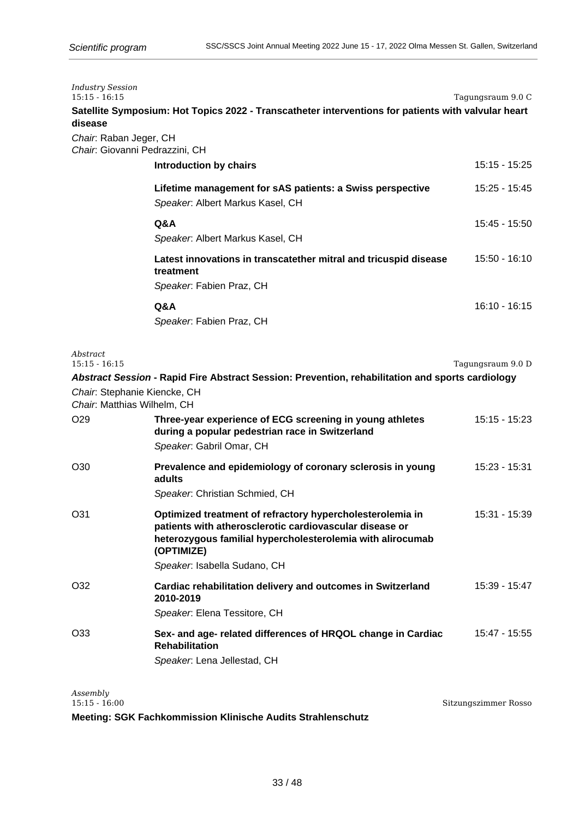| <b>Industry Session</b><br>$15:15 - 16:15$<br>disease       | Satellite Symposium: Hot Topics 2022 - Transcatheter interventions for patients with valvular heart                                                                                                                              | Tagungsraum 9.0 C    |
|-------------------------------------------------------------|----------------------------------------------------------------------------------------------------------------------------------------------------------------------------------------------------------------------------------|----------------------|
| Chair. Raban Jeger, CH<br>Chair: Giovanni Pedrazzini, CH    |                                                                                                                                                                                                                                  |                      |
|                                                             | Introduction by chairs                                                                                                                                                                                                           | 15:15 - 15:25        |
|                                                             | Lifetime management for sAS patients: a Swiss perspective<br>Speaker. Albert Markus Kasel, CH                                                                                                                                    | 15:25 - 15:45        |
|                                                             | Q&A<br>Speaker. Albert Markus Kasel, CH                                                                                                                                                                                          | 15:45 - 15:50        |
|                                                             | Latest innovations in transcatether mitral and tricuspid disease<br>treatment<br>Speaker. Fabien Praz, CH                                                                                                                        | 15:50 - 16:10        |
|                                                             | Q&A<br>Speaker. Fabien Praz, CH                                                                                                                                                                                                  | $16:10 - 16:15$      |
| Abstract<br>$15:15 - 16:15$                                 |                                                                                                                                                                                                                                  | Tagungsraum 9.0 D    |
| Chair: Stephanie Kiencke, CH<br>Chair: Matthias Wilhelm, CH | Abstract Session - Rapid Fire Abstract Session: Prevention, rehabilitation and sports cardiology                                                                                                                                 |                      |
| O <sub>29</sub>                                             | Three-year experience of ECG screening in young athletes<br>during a popular pedestrian race in Switzerland<br>Speaker. Gabril Omar, CH                                                                                          | 15:15 - 15:23        |
| O <sub>30</sub>                                             | Prevalence and epidemiology of coronary sclerosis in young<br>adults<br>Speaker. Christian Schmied, CH                                                                                                                           | 15:23 - 15:31        |
| O31                                                         | Optimized treatment of refractory hypercholesterolemia in<br>patients with atherosclerotic cardiovascular disease or<br>heterozygous familial hypercholesterolemia with alirocumab<br>(OPTIMIZE)<br>Speaker. Isabella Sudano, CH | 15:31 - 15:39        |
| O32                                                         | Cardiac rehabilitation delivery and outcomes in Switzerland<br>2010-2019<br>Speaker: Elena Tessitore, CH                                                                                                                         | 15:39 - 15:47        |
| O33                                                         | Sex- and age- related differences of HRQOL change in Cardiac<br><b>Rehabilitation</b><br>Speaker. Lena Jellestad, CH                                                                                                             | 15:47 - 15:55        |
| Assembly<br>$15:15 - 16:00$                                 |                                                                                                                                                                                                                                  | Sitzungszimmer Rosso |

**Meeting: SGK Fachkommission Klinische Audits Strahlenschutz**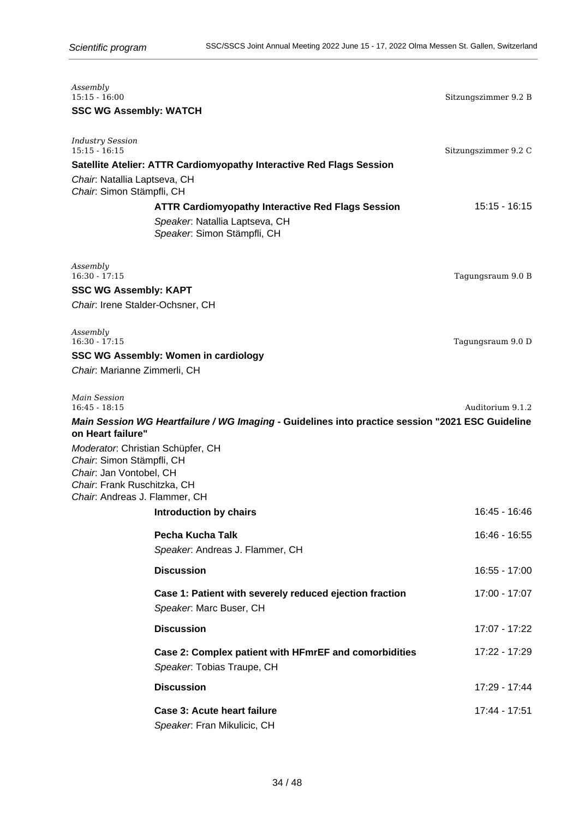| Assembly<br>$15:15 - 16:00$<br><b>SSC WG Assembly: WATCH</b>                                                                                              |                                                                                                                           | Sitzungszimmer 9.2 B |
|-----------------------------------------------------------------------------------------------------------------------------------------------------------|---------------------------------------------------------------------------------------------------------------------------|----------------------|
| <b>Industry Session</b><br>$15:15 - 16:15$                                                                                                                | Satellite Atelier: ATTR Cardiomyopathy Interactive Red Flags Session                                                      | Sitzungszimmer 9.2 C |
| Chair: Natallia Laptseva, CH<br>Chair: Simon Stämpfli, CH                                                                                                 | <b>ATTR Cardiomyopathy Interactive Red Flags Session</b><br>Speaker. Natallia Laptseva, CH<br>Speaker. Simon Stämpfli, CH | $15:15 - 16:15$      |
| Assembly<br>$16:30 - 17:15$                                                                                                                               |                                                                                                                           | Tagungsraum 9.0 B    |
| <b>SSC WG Assembly: KAPT</b><br>Chair. Irene Stalder-Ochsner, CH                                                                                          |                                                                                                                           |                      |
| Assembly<br>$16:30 - 17:15$<br>Chair. Marianne Zimmerli, CH                                                                                               | <b>SSC WG Assembly: Women in cardiology</b>                                                                               | Tagungsraum 9.0 D    |
| Main Session<br>$16:45 - 18:15$<br>on Heart failure"                                                                                                      | Main Session WG Heartfailure / WG Imaging - Guidelines into practice session "2021 ESC Guideline                          | Auditorium 9.1.2     |
| Moderator: Christian Schüpfer, CH<br>Chair: Simon Stämpfli, CH<br>Chair. Jan Vontobel, CH<br>Chair: Frank Ruschitzka, CH<br>Chair: Andreas J. Flammer, CH |                                                                                                                           |                      |
|                                                                                                                                                           | Introduction by chairs                                                                                                    | 16:45 - 16:46        |
|                                                                                                                                                           | Pecha Kucha Talk<br>Speaker. Andreas J. Flammer, CH                                                                       | 16:46 - 16:55        |
|                                                                                                                                                           | <b>Discussion</b>                                                                                                         | $16:55 - 17:00$      |
|                                                                                                                                                           | Case 1: Patient with severely reduced ejection fraction<br>Speaker. Marc Buser, CH                                        | 17:00 - 17:07        |
|                                                                                                                                                           | <b>Discussion</b>                                                                                                         | 17:07 - 17:22        |
|                                                                                                                                                           | Case 2: Complex patient with HFmrEF and comorbidities<br>Speaker. Tobias Traupe, CH                                       | 17:22 - 17:29        |
|                                                                                                                                                           | <b>Discussion</b>                                                                                                         | 17:29 - 17:44        |
|                                                                                                                                                           | <b>Case 3: Acute heart failure</b><br>Speaker. Fran Mikulicic, CH                                                         | 17:44 - 17:51        |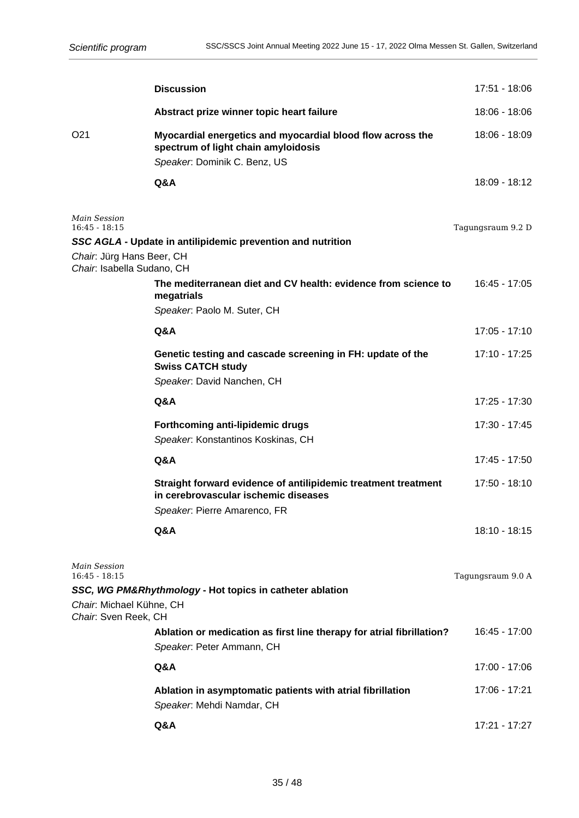|                                                                     | <b>Discussion</b>                                                                                                                 | 17:51 - 18:06     |
|---------------------------------------------------------------------|-----------------------------------------------------------------------------------------------------------------------------------|-------------------|
|                                                                     | Abstract prize winner topic heart failure                                                                                         | 18:06 - 18:06     |
| O <sub>21</sub>                                                     | Myocardial energetics and myocardial blood flow across the<br>spectrum of light chain amyloidosis<br>Speaker: Dominik C. Benz, US | 18:06 - 18:09     |
|                                                                     | Q&A                                                                                                                               | 18:09 - 18:12     |
| <b>Main Session</b><br>$16:45 - 18:15$<br>Chair: Jürg Hans Beer, CH | SSC AGLA - Update in antilipidemic prevention and nutrition                                                                       | Tagungsraum 9.2 D |
| Chair. Isabella Sudano, CH                                          | The mediterranean diet and CV health: evidence from science to<br>megatrials<br>Speaker. Paolo M. Suter, CH                       | 16:45 - 17:05     |
|                                                                     | Q&A                                                                                                                               | 17:05 - 17:10     |
|                                                                     | Genetic testing and cascade screening in FH: update of the<br><b>Swiss CATCH study</b><br>Speaker. David Nanchen, CH              | 17:10 - 17:25     |
|                                                                     | Q&A                                                                                                                               | 17:25 - 17:30     |
|                                                                     | Forthcoming anti-lipidemic drugs<br>Speaker. Konstantinos Koskinas, CH                                                            | 17:30 - 17:45     |
|                                                                     | Q&A                                                                                                                               | 17:45 - 17:50     |
|                                                                     | Straight forward evidence of antilipidemic treatment treatment<br>in cerebrovascular ischemic diseases                            | 17:50 - 18:10     |
|                                                                     | Speaker. Pierre Amarenco, FR                                                                                                      |                   |
|                                                                     | Q&A                                                                                                                               | 18:10 - 18:15     |
| Main Session<br>$16:45 - 18:15$                                     | SSC, WG PM&Rhythmology - Hot topics in catheter ablation                                                                          | Tagungsraum 9.0 A |
| Chair: Michael Kühne, CH<br>Chair: Sven Reek, CH                    |                                                                                                                                   |                   |
|                                                                     | Ablation or medication as first line therapy for atrial fibrillation?<br>Speaker. Peter Ammann, CH                                | $16:45 - 17:00$   |
|                                                                     | Q&A                                                                                                                               | 17:00 - 17:06     |
|                                                                     | Ablation in asymptomatic patients with atrial fibrillation<br>Speaker. Mehdi Namdar, CH                                           | 17:06 - 17:21     |
|                                                                     | Q&A                                                                                                                               | 17:21 - 17:27     |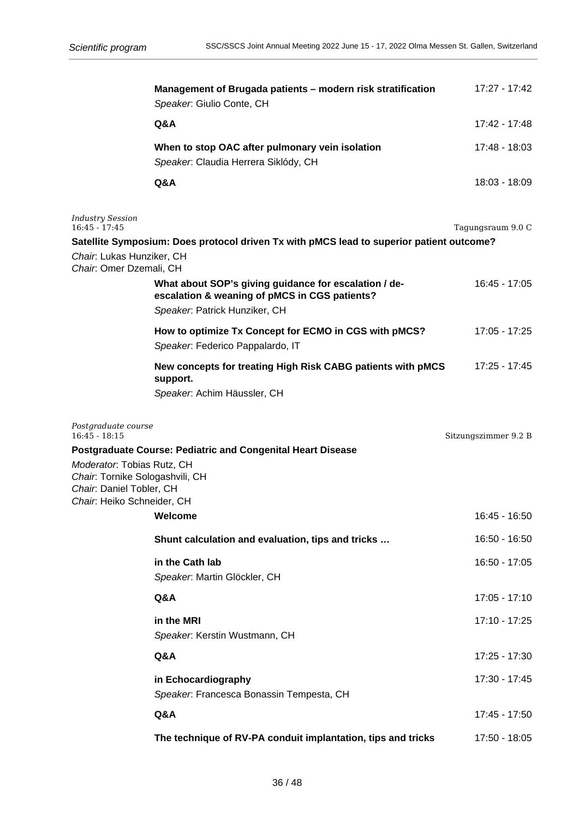|                                                                                                                         | Management of Brugada patients - modern risk stratification<br>Speaker: Giulio Conte, CH                                                | 17:27 - 17:42        |
|-------------------------------------------------------------------------------------------------------------------------|-----------------------------------------------------------------------------------------------------------------------------------------|----------------------|
|                                                                                                                         | Q&A                                                                                                                                     | 17:42 - 17:48        |
|                                                                                                                         | When to stop OAC after pulmonary vein isolation<br>Speaker. Claudia Herrera Siklódy, CH                                                 | 17:48 - 18:03        |
|                                                                                                                         | Q&A                                                                                                                                     | 18:03 - 18:09        |
| <b>Industry Session</b><br>$16:45 - 17:45$                                                                              |                                                                                                                                         | Tagungsraum 9.0 C    |
| Chair: Lukas Hunziker, CH                                                                                               | Satellite Symposium: Does protocol driven Tx with pMCS lead to superior patient outcome?                                                |                      |
| Chair: Omer Dzemali, CH                                                                                                 |                                                                                                                                         |                      |
|                                                                                                                         | What about SOP's giving guidance for escalation / de-<br>escalation & weaning of pMCS in CGS patients?<br>Speaker. Patrick Hunziker, CH | 16:45 - 17:05        |
|                                                                                                                         | How to optimize Tx Concept for ECMO in CGS with pMCS?<br>Speaker. Federico Pappalardo, IT                                               | 17:05 - 17:25        |
|                                                                                                                         | New concepts for treating High Risk CABG patients with pMCS<br>support.                                                                 | 17:25 - 17:45        |
|                                                                                                                         | Speaker: Achim Häussler, CH                                                                                                             |                      |
| Postgraduate course<br>$16:45 - 18:15$                                                                                  |                                                                                                                                         | Sitzungszimmer 9.2 B |
|                                                                                                                         | <b>Postgraduate Course: Pediatric and Congenital Heart Disease</b>                                                                      |                      |
| Moderator: Tobias Rutz, CH<br>Chair: Tornike Sologashvili, CH<br>Chair: Daniel Tobler, CH<br>Chair: Heiko Schneider, CH |                                                                                                                                         |                      |
|                                                                                                                         | Welcome                                                                                                                                 | 16:45 - 16:50        |
|                                                                                                                         | Shunt calculation and evaluation, tips and tricks                                                                                       | 16:50 - 16:50        |
|                                                                                                                         | in the Cath lab<br>Speaker: Martin Glöckler, CH                                                                                         | 16:50 - 17:05        |
|                                                                                                                         | Q&A                                                                                                                                     | 17:05 - 17:10        |
|                                                                                                                         | in the MRI<br>Speaker. Kerstin Wustmann, CH                                                                                             | 17:10 - 17:25        |
|                                                                                                                         | Q&A                                                                                                                                     | 17:25 - 17:30        |
|                                                                                                                         | in Echocardiography<br>Speaker. Francesca Bonassin Tempesta, CH                                                                         | 17:30 - 17:45        |
|                                                                                                                         | Q&A                                                                                                                                     | 17:45 - 17:50        |
|                                                                                                                         | The technique of RV-PA conduit implantation, tips and tricks                                                                            | 17:50 - 18:05        |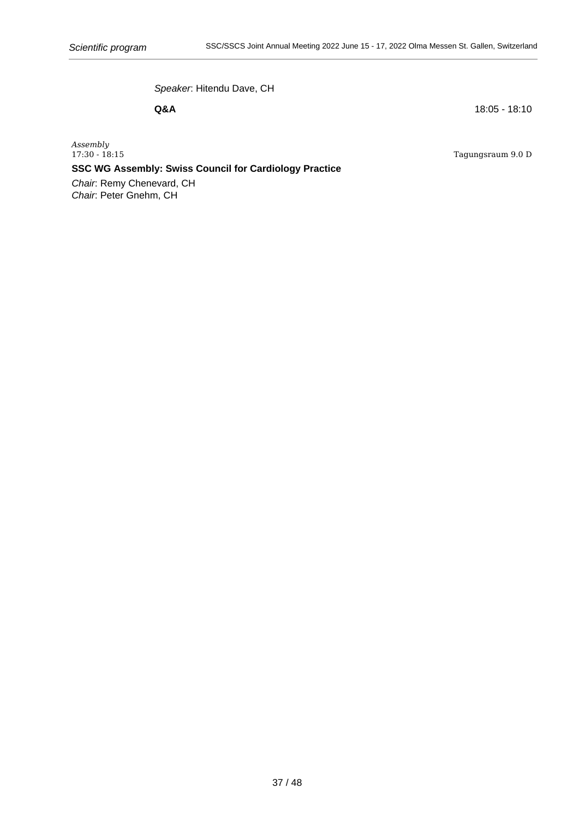Speaker: Hitendu Dave, CH

**Q&A** 18:05 - 18:10

Tagungsraum 9.0 D

*Assembly*

**SSC WG Assembly: Swiss Council for Cardiology Practice**

Chair: Remy Chenevard, CH Chair: Peter Gnehm, CH

37 / 48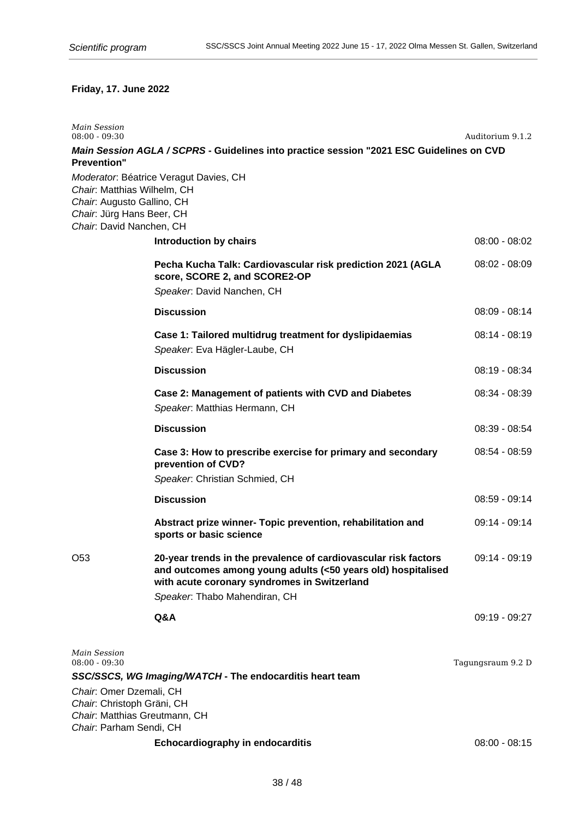# **Friday, 17. June 2022**

| <b>Main Session</b><br>$08:00 - 09:30$                                                                                                   |                                                                                                                                                                                 | Auditorium 9.1.2  |
|------------------------------------------------------------------------------------------------------------------------------------------|---------------------------------------------------------------------------------------------------------------------------------------------------------------------------------|-------------------|
|                                                                                                                                          | Main Session AGLA / SCPRS - Guidelines into practice session "2021 ESC Guidelines on CVD                                                                                        |                   |
| <b>Prevention"</b><br>Chair. Matthias Wilhelm, CH<br>Chair: Augusto Gallino, CH<br>Chair: Jürg Hans Beer, CH<br>Chair: David Nanchen, CH | Moderator. Béatrice Veragut Davies, CH                                                                                                                                          |                   |
|                                                                                                                                          | <b>Introduction by chairs</b>                                                                                                                                                   | $08:00 - 08:02$   |
|                                                                                                                                          | Pecha Kucha Talk: Cardiovascular risk prediction 2021 (AGLA<br>score, SCORE 2, and SCORE2-OP                                                                                    | $08:02 - 08:09$   |
|                                                                                                                                          | Speaker. David Nanchen, CH                                                                                                                                                      |                   |
|                                                                                                                                          | <b>Discussion</b>                                                                                                                                                               | $08:09 - 08:14$   |
|                                                                                                                                          | Case 1: Tailored multidrug treatment for dyslipidaemias<br>Speaker. Eva Hägler-Laube, CH                                                                                        | $08:14 - 08:19$   |
|                                                                                                                                          | <b>Discussion</b>                                                                                                                                                               | 08:19 - 08:34     |
|                                                                                                                                          | Case 2: Management of patients with CVD and Diabetes<br>Speaker. Matthias Hermann, CH                                                                                           | 08:34 - 08:39     |
|                                                                                                                                          | <b>Discussion</b>                                                                                                                                                               | 08:39 - 08:54     |
|                                                                                                                                          | Case 3: How to prescribe exercise for primary and secondary<br>prevention of CVD?<br>Speaker. Christian Schmied, CH                                                             | $08:54 - 08:59$   |
|                                                                                                                                          | <b>Discussion</b>                                                                                                                                                               | $08:59 - 09:14$   |
|                                                                                                                                          | Abstract prize winner- Topic prevention, rehabilitation and<br>sports or basic science                                                                                          | 09:14 - 09:14     |
| O <sub>53</sub>                                                                                                                          | 20-year trends in the prevalence of cardiovascular risk factors<br>and outcomes among young adults (<50 years old) hospitalised<br>with acute coronary syndromes in Switzerland | $09:14 - 09:19$   |
|                                                                                                                                          | Speaker. Thabo Mahendiran, CH                                                                                                                                                   |                   |
|                                                                                                                                          | Q&A                                                                                                                                                                             | 09:19 - 09:27     |
| <b>Main Session</b><br>$08:00 - 09:30$                                                                                                   |                                                                                                                                                                                 | Tagungsraum 9.2 D |
| Chair: Omer Dzemali, CH<br>Chair: Christoph Gräni, CH<br>Chair. Matthias Greutmann, CH<br>Chair: Parham Sendi, CH                        | SSC/SSCS, WG Imaging/WATCH - The endocarditis heart team                                                                                                                        |                   |
|                                                                                                                                          | <b>Echocardiography in endocarditis</b>                                                                                                                                         | $08:00 - 08:15$   |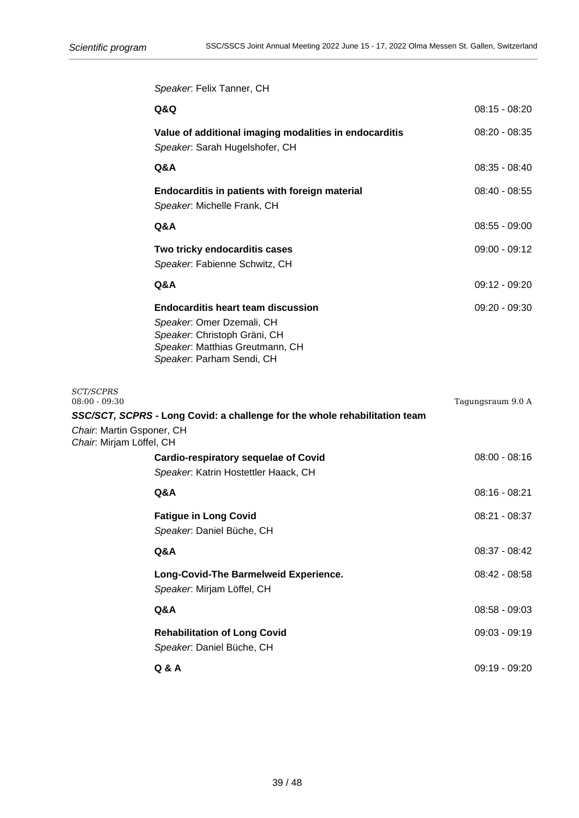**Q&Q** 08:15 - 08:20

**Value of additional imaging modalities in endocarditis** 08:20 - 08:35

**Q&A** 08:35 - 08:40

**Endocarditis in patients with foreign material** 08:40 - 08:55

**Q&A** 08:55 - 09:00

09:00 - 09:12

09:12 - 09:20

**Endocarditis heart team discussion** 09:20 - 09:30

Tagungsraum 9.0 A

|                                                       | Speaker. Felix Tanner, CH                                                                                                                                              |
|-------------------------------------------------------|------------------------------------------------------------------------------------------------------------------------------------------------------------------------|
|                                                       | Q&Q                                                                                                                                                                    |
|                                                       | Value of additional imaging modalities in endocarditis<br>Speaker. Sarah Hugelshofer, CH                                                                               |
|                                                       | Q&A                                                                                                                                                                    |
|                                                       | Endocarditis in patients with foreign material<br>Speaker: Michelle Frank, CH                                                                                          |
|                                                       | <b>Q&amp;A</b>                                                                                                                                                         |
|                                                       | Two tricky endocarditis cases<br>Speaker. Fabienne Schwitz, CH                                                                                                         |
|                                                       | Q&A                                                                                                                                                                    |
|                                                       | <b>Endocarditis heart team discussion</b><br>Speaker: Omer Dzemali, CH<br>Speaker: Christoph Gräni, CH<br>Speaker. Matthias Greutmann, CH<br>Speaker. Parham Sendi, CH |
| <b>SCT/SCPRS</b><br>$08:00 - 09:30$                   |                                                                                                                                                                        |
|                                                       | SSC/SCT, SCPRS - Long Covid: a challenge for the whole rehabilitation team                                                                                             |
| Chair: Martin Gsponer, CH<br>Chair: Mirjam Löffel, CH |                                                                                                                                                                        |

| <b>Cardio-respiratory sequelae of Covid</b><br>Speaker: Katrin Hostettler Haack, CH | $08:00 - 08:16$ |
|-------------------------------------------------------------------------------------|-----------------|
| Q&A                                                                                 | $08:16 - 08:21$ |
| <b>Fatigue in Long Covid</b><br>Speaker: Daniel Büche, CH                           | 08:21 - 08:37   |
| <b>Q&amp;A</b>                                                                      | $08:37 - 08:42$ |
| Long-Covid-The Barmelweid Experience.<br>Speaker. Mirjam Löffel, CH                 | $08:42 - 08:58$ |
| <b>Q&amp;A</b>                                                                      | $08:58 - 09:03$ |
| <b>Rehabilitation of Long Covid</b><br>Speaker: Daniel Büche, CH                    | $09:03 - 09:19$ |
| Q & A                                                                               | $09:19 - 09:20$ |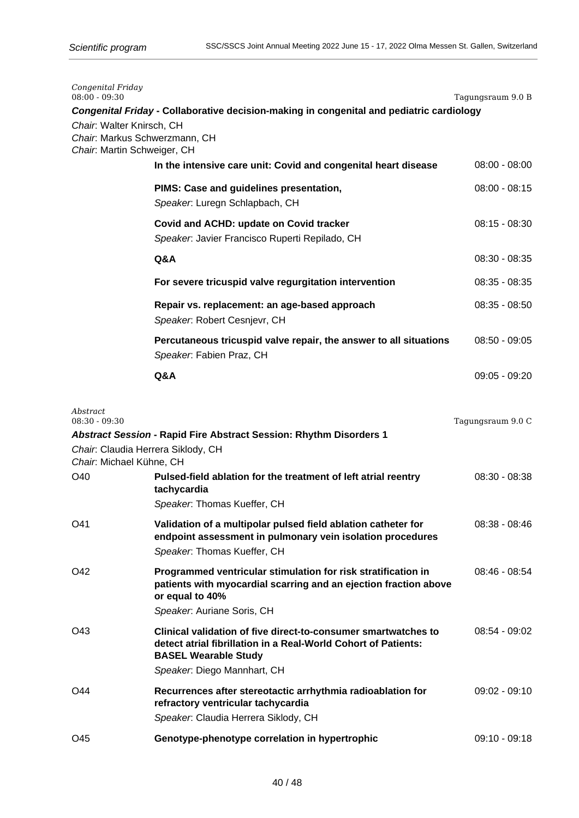| Congenital Friday<br>$08:00 - 09:30$                                                      |                                                                                                                                                                                                | Tagungsraum 9.0 B |
|-------------------------------------------------------------------------------------------|------------------------------------------------------------------------------------------------------------------------------------------------------------------------------------------------|-------------------|
| Chair: Walter Knirsch, CH<br>Chair. Markus Schwerzmann, CH<br>Chair: Martin Schweiger, CH | Congenital Friday - Collaborative decision-making in congenital and pediatric cardiology                                                                                                       |                   |
|                                                                                           | In the intensive care unit: Covid and congenital heart disease                                                                                                                                 | $08:00 - 08:00$   |
|                                                                                           | PIMS: Case and guidelines presentation,<br>Speaker. Luregn Schlapbach, CH                                                                                                                      | $08:00 - 08:15$   |
|                                                                                           | Covid and ACHD: update on Covid tracker<br>Speaker. Javier Francisco Ruperti Repilado, CH                                                                                                      | $08:15 - 08:30$   |
|                                                                                           | Q&A                                                                                                                                                                                            | $08:30 - 08:35$   |
|                                                                                           | For severe tricuspid valve regurgitation intervention                                                                                                                                          | $08:35 - 08:35$   |
|                                                                                           | Repair vs. replacement: an age-based approach<br>Speaker. Robert Cesnjevr, CH                                                                                                                  | $08:35 - 08:50$   |
|                                                                                           | Percutaneous tricuspid valve repair, the answer to all situations<br>Speaker: Fabien Praz, CH                                                                                                  | $08:50 - 09:05$   |
|                                                                                           | Q&A                                                                                                                                                                                            | $09:05 - 09:20$   |
| Abstract<br>$08:30 - 09:30$                                                               | Abstract Session - Rapid Fire Abstract Session: Rhythm Disorders 1                                                                                                                             | Tagungsraum 9.0 C |
| Chair. Claudia Herrera Siklody, CH<br>Chair: Michael Kühne, CH                            |                                                                                                                                                                                                |                   |
| O40                                                                                       | Pulsed-field ablation for the treatment of left atrial reentry<br>tachycardia                                                                                                                  | $08:30 - 08:38$   |
| O41                                                                                       | Speaker. Thomas Kueffer, CH<br>Validation of a multipolar pulsed field ablation catheter for<br>endpoint assessment in pulmonary vein isolation procedures<br>Speaker. Thomas Kueffer, CH      | $08:38 - 08:46$   |
| O42                                                                                       | Programmed ventricular stimulation for risk stratification in<br>patients with myocardial scarring and an ejection fraction above<br>or equal to 40%<br>Speaker. Auriane Soris, CH             | $08:46 - 08:54$   |
| O43                                                                                       | Clinical validation of five direct-to-consumer smartwatches to<br>detect atrial fibrillation in a Real-World Cohort of Patients:<br><b>BASEL Wearable Study</b><br>Speaker. Diego Mannhart, CH | $08:54 - 09:02$   |
| O44                                                                                       | Recurrences after stereotactic arrhythmia radioablation for<br>refractory ventricular tachycardia<br>Speaker. Claudia Herrera Siklody, CH                                                      | $09:02 - 09:10$   |
| O45                                                                                       | Genotype-phenotype correlation in hypertrophic                                                                                                                                                 | $09:10 - 09:18$   |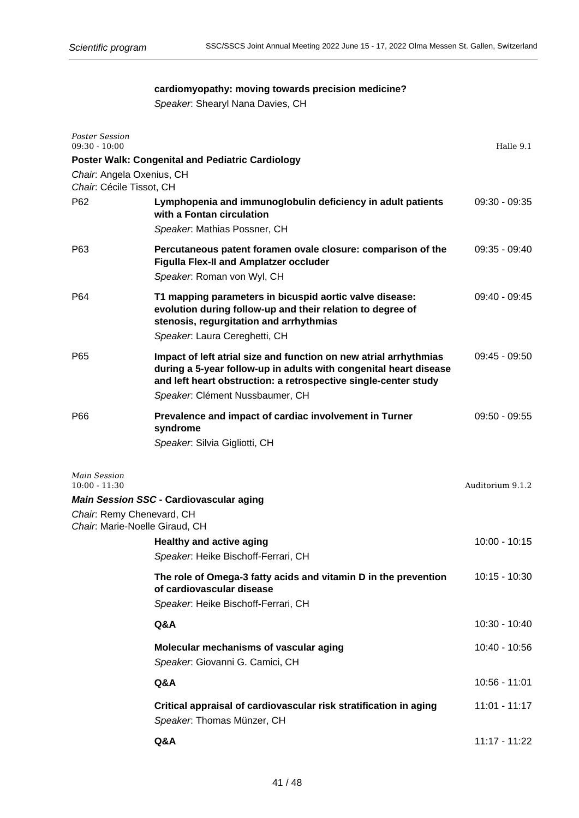# **cardiomyopathy: moving towards precision medicine?**

Speaker: Shearyl Nana Davies, CH

| <b>Poster Session</b><br>$09:30 - 10:00$                     |                                                                                                                                                                                                                                              | Halle 9.1        |
|--------------------------------------------------------------|----------------------------------------------------------------------------------------------------------------------------------------------------------------------------------------------------------------------------------------------|------------------|
|                                                              | <b>Poster Walk: Congenital and Pediatric Cardiology</b>                                                                                                                                                                                      |                  |
| Chair: Angela Oxenius, CH<br>Chair. Cécile Tissot, CH        |                                                                                                                                                                                                                                              |                  |
| P62                                                          | Lymphopenia and immunoglobulin deficiency in adult patients<br>with a Fontan circulation<br>Speaker: Mathias Possner, CH                                                                                                                     | $09:30 - 09:35$  |
| P63                                                          | Percutaneous patent foramen ovale closure: comparison of the<br><b>Figulla Flex-II and Amplatzer occluder</b><br>Speaker. Roman von Wyl, CH                                                                                                  | $09:35 - 09:40$  |
| P64                                                          | T1 mapping parameters in bicuspid aortic valve disease:<br>evolution during follow-up and their relation to degree of<br>stenosis, regurgitation and arrhythmias<br>Speaker. Laura Cereghetti, CH                                            | $09:40 - 09:45$  |
| P65                                                          | Impact of left atrial size and function on new atrial arrhythmias<br>during a 5-year follow-up in adults with congenital heart disease<br>and left heart obstruction: a retrospective single-center study<br>Speaker. Clément Nussbaumer, CH | $09:45 - 09:50$  |
| P66                                                          | Prevalence and impact of cardiac involvement in Turner<br>syndrome<br>Speaker. Silvia Gigliotti, CH                                                                                                                                          | $09:50 - 09:55$  |
| Main Session<br>$10:00 - 11:30$<br>Chair: Remy Chenevard, CH | <b>Main Session SSC - Cardiovascular aging</b>                                                                                                                                                                                               | Auditorium 9.1.2 |
| Chair: Marie-Noelle Giraud, CH                               | <b>Healthy and active aging</b><br>Speaker. Heike Bischoff-Ferrari, CH                                                                                                                                                                       | $10:00 - 10:15$  |
|                                                              | The role of Omega-3 fatty acids and vitamin D in the prevention<br>of cardiovascular disease<br>Speaker. Heike Bischoff-Ferrari, CH                                                                                                          | 10:15 - 10:30    |
|                                                              | Q&A                                                                                                                                                                                                                                          | 10:30 - 10:40    |
|                                                              | Molecular mechanisms of vascular aging<br>Speaker: Giovanni G. Camici, CH                                                                                                                                                                    | 10:40 - 10:56    |
|                                                              | Q&A                                                                                                                                                                                                                                          | $10:56 - 11:01$  |
|                                                              | Critical appraisal of cardiovascular risk stratification in aging<br>Speaker. Thomas Münzer, CH                                                                                                                                              | $11:01 - 11:17$  |
|                                                              | Q&A                                                                                                                                                                                                                                          | 11:17 - 11:22    |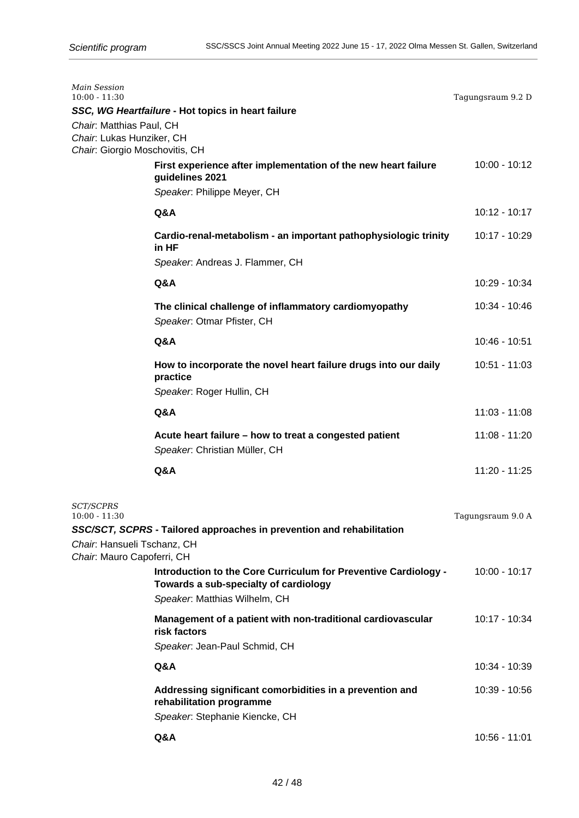| Main Session<br>$10:00 - 11:30$                                                                  |                                                                                                                                           | Tagungsraum 9.2 D |
|--------------------------------------------------------------------------------------------------|-------------------------------------------------------------------------------------------------------------------------------------------|-------------------|
|                                                                                                  | SSC, WG Heartfailure - Hot topics in heart failure                                                                                        |                   |
| Chair. Matthias Paul, CH<br>Chair: Lukas Hunziker, CH<br>Chair. Giorgio Moschovitis, CH          |                                                                                                                                           |                   |
|                                                                                                  | First experience after implementation of the new heart failure<br>guidelines 2021                                                         | 10:00 - 10:12     |
|                                                                                                  | Speaker. Philippe Meyer, CH                                                                                                               |                   |
|                                                                                                  | Q&A                                                                                                                                       | $10:12 - 10:17$   |
|                                                                                                  | Cardio-renal-metabolism - an important pathophysiologic trinity<br>in HF                                                                  | 10:17 - 10:29     |
|                                                                                                  | Speaker. Andreas J. Flammer, CH                                                                                                           |                   |
|                                                                                                  | Q&A                                                                                                                                       | 10:29 - 10:34     |
|                                                                                                  | The clinical challenge of inflammatory cardiomyopathy<br>Speaker. Otmar Pfister, CH                                                       | 10:34 - 10:46     |
|                                                                                                  | Q&A                                                                                                                                       | 10:46 - 10:51     |
|                                                                                                  | How to incorporate the novel heart failure drugs into our daily<br>practice                                                               | 10:51 - 11:03     |
|                                                                                                  | Speaker: Roger Hullin, CH                                                                                                                 |                   |
|                                                                                                  | Q&A                                                                                                                                       | $11:03 - 11:08$   |
|                                                                                                  | Acute heart failure – how to treat a congested patient<br>Speaker: Christian Müller, CH                                                   | 11:08 - 11:20     |
|                                                                                                  | Q&A                                                                                                                                       | 11:20 - 11:25     |
| <i>SCT/SCPRS</i><br>$10:00 - 11:30$<br>Chair. Hansueli Tschanz, CH<br>Chair. Mauro Capoferri, CH | SSC/SCT, SCPRS - Tailored approaches in prevention and rehabilitation                                                                     | Tagungsraum 9.0 A |
|                                                                                                  | Introduction to the Core Curriculum for Preventive Cardiology -<br>Towards a sub-specialty of cardiology<br>Speaker. Matthias Wilhelm, CH | 10:00 - 10:17     |
|                                                                                                  | Management of a patient with non-traditional cardiovascular<br>risk factors<br>Speaker. Jean-Paul Schmid, CH                              | 10:17 - 10:34     |
|                                                                                                  | Q&A                                                                                                                                       | 10:34 - 10:39     |
|                                                                                                  | Addressing significant comorbidities in a prevention and<br>rehabilitation programme<br>Speaker. Stephanie Kiencke, CH                    | 10:39 - 10:56     |
|                                                                                                  | Q&A                                                                                                                                       | 10:56 - 11:01     |
|                                                                                                  |                                                                                                                                           |                   |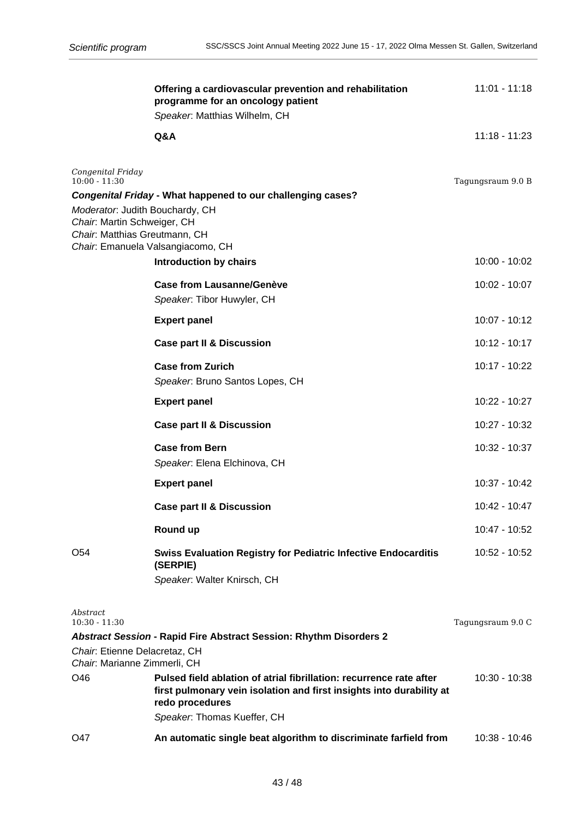|                                                                                                 | Offering a cardiovascular prevention and rehabilitation<br>programme for an oncology patient<br>Speaker. Matthias Wilhelm, CH                                  | $11:01 - 11:18$   |
|-------------------------------------------------------------------------------------------------|----------------------------------------------------------------------------------------------------------------------------------------------------------------|-------------------|
|                                                                                                 | Q&A                                                                                                                                                            | $11:18 - 11:23$   |
| Congenital Friday<br>$10:00 - 11:30$                                                            | Congenital Friday - What happened to our challenging cases?                                                                                                    | Tagungsraum 9.0 B |
| Moderator: Judith Bouchardy, CH<br>Chair: Martin Schweiger, CH<br>Chair. Matthias Greutmann, CH | Chair. Emanuela Valsangiacomo, CH                                                                                                                              |                   |
|                                                                                                 | <b>Introduction by chairs</b>                                                                                                                                  | 10:00 - 10:02     |
|                                                                                                 | <b>Case from Lausanne/Genève</b><br>Speaker. Tibor Huwyler, CH                                                                                                 | 10:02 - 10:07     |
|                                                                                                 | <b>Expert panel</b>                                                                                                                                            | 10:07 - 10:12     |
|                                                                                                 | <b>Case part II &amp; Discussion</b>                                                                                                                           | $10:12 - 10:17$   |
|                                                                                                 | <b>Case from Zurich</b><br>Speaker. Bruno Santos Lopes, CH                                                                                                     | 10:17 - 10:22     |
|                                                                                                 | <b>Expert panel</b>                                                                                                                                            | 10:22 - 10:27     |
|                                                                                                 | <b>Case part II &amp; Discussion</b>                                                                                                                           | 10:27 - 10:32     |
|                                                                                                 | <b>Case from Bern</b><br>Speaker. Elena Elchinova, CH                                                                                                          | 10:32 - 10:37     |
|                                                                                                 | <b>Expert panel</b>                                                                                                                                            | 10:37 - 10:42     |
|                                                                                                 | <b>Case part II &amp; Discussion</b>                                                                                                                           | 10:42 - 10:47     |
|                                                                                                 | Round up                                                                                                                                                       | 10:47 - 10:52     |
| O <sub>54</sub>                                                                                 | <b>Swiss Evaluation Registry for Pediatric Infective Endocarditis</b><br>(SERPIE)<br>Speaker. Walter Knirsch, CH                                               | 10:52 - 10:52     |
| Abstract<br>$10:30 - 11:30$                                                                     |                                                                                                                                                                | Tagungsraum 9.0 C |
|                                                                                                 | <b>Abstract Session - Rapid Fire Abstract Session: Rhythm Disorders 2</b>                                                                                      |                   |
| Chair. Etienne Delacretaz, CH<br>Chair. Marianne Zimmerli, CH                                   |                                                                                                                                                                |                   |
| O46                                                                                             | Pulsed field ablation of atrial fibrillation: recurrence rate after<br>first pulmonary vein isolation and first insights into durability at<br>redo procedures | $10:30 - 10:38$   |
|                                                                                                 | Speaker. Thomas Kueffer, CH                                                                                                                                    |                   |
| O47                                                                                             | An automatic single beat algorithm to discriminate farfield from                                                                                               | 10:38 - 10:46     |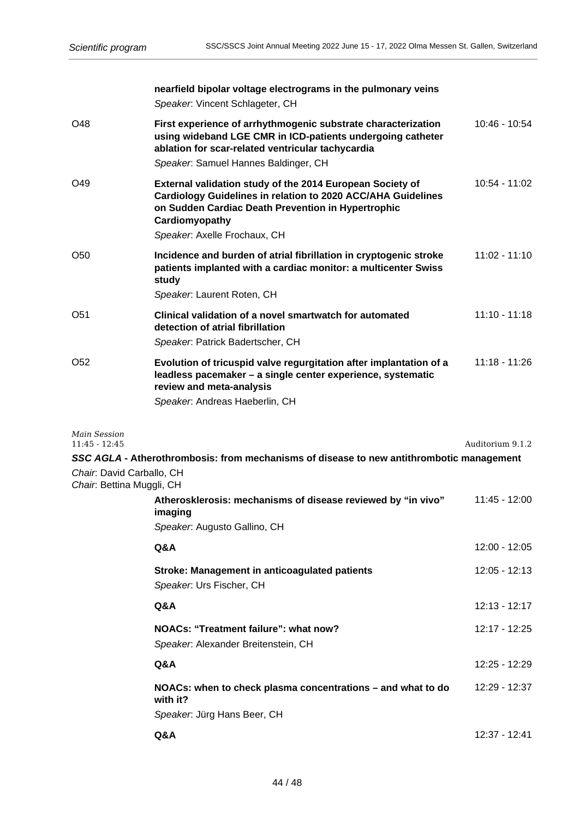|                                                        | nearfield bipolar voltage electrograms in the pulmonary veins<br>Speaker. Vincent Schlageter, CH                                                                                                                                  |                  |
|--------------------------------------------------------|-----------------------------------------------------------------------------------------------------------------------------------------------------------------------------------------------------------------------------------|------------------|
| O48                                                    | First experience of arrhythmogenic substrate characterization<br>using wideband LGE CMR in ICD-patients undergoing catheter<br>ablation for scar-related ventricular tachycardia<br>Speaker: Samuel Hannes Baldinger, CH          | $10:46 - 10:54$  |
| O49                                                    | External validation study of the 2014 European Society of<br>Cardiology Guidelines in relation to 2020 ACC/AHA Guidelines<br>on Sudden Cardiac Death Prevention in Hypertrophic<br>Cardiomyopathy<br>Speaker. Axelle Frochaux, CH | $10:54 - 11:02$  |
| O50                                                    | Incidence and burden of atrial fibrillation in cryptogenic stroke<br>patients implanted with a cardiac monitor: a multicenter Swiss<br>study<br>Speaker. Laurent Roten, CH                                                        | $11:02 - 11:10$  |
| O51                                                    | Clinical validation of a novel smartwatch for automated<br>detection of atrial fibrillation<br>Speaker. Patrick Badertscher, CH                                                                                                   | $11:10 - 11:18$  |
| O <sub>52</sub>                                        | Evolution of tricuspid valve regurgitation after implantation of a<br>leadless pacemaker - a single center experience, systematic<br>review and meta-analysis<br>Speaker. Andreas Haeberlin, CH                                   | $11:18 - 11:26$  |
| Main Session<br>$11:45 - 12:45$                        |                                                                                                                                                                                                                                   | Auditorium 9.1.2 |
| Chair: David Carballo, CH<br>Chair: Bettina Muggli, CH | SSC AGLA - Atherothrombosis: from mechanisms of disease to new antithrombotic management                                                                                                                                          |                  |
|                                                        | Atherosklerosis: mechanisms of disease reviewed by "in vivo"<br>imaging<br>Speaker. Augusto Gallino, CH                                                                                                                           | 11:45 - 12:00    |
|                                                        | Q&A                                                                                                                                                                                                                               | 12:00 - 12:05    |
|                                                        | Stroke: Management in anticoagulated patients<br>Speaker. Urs Fischer, CH                                                                                                                                                         | 12:05 - 12:13    |
|                                                        | Q&A                                                                                                                                                                                                                               | $12:13 - 12:17$  |
|                                                        | NOACs: "Treatment failure": what now?<br>Speaker: Alexander Breitenstein, CH                                                                                                                                                      | 12:17 - 12:25    |
|                                                        | Q&A                                                                                                                                                                                                                               | 12:25 - 12:29    |
|                                                        | NOACs: when to check plasma concentrations – and what to do<br>with it?<br>Speaker. Jürg Hans Beer, CH                                                                                                                            | 12:29 - 12:37    |
|                                                        | Q&A                                                                                                                                                                                                                               | 12:37 - 12:41    |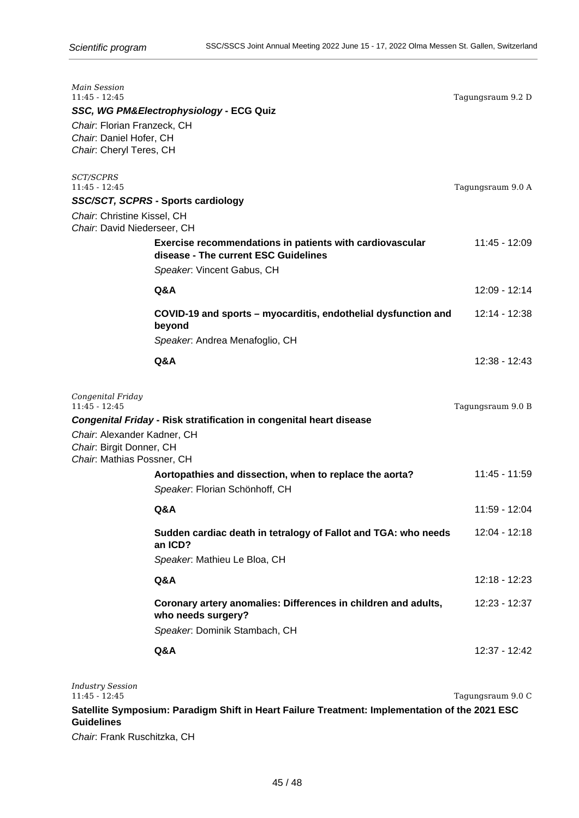| Main Session<br>$11:45 - 12:45$<br>Chair: Florian Franzeck, CH                        | SSC, WG PM&Electrophysiology - ECG Quiz                                                          | Tagungsraum 9.2 D |
|---------------------------------------------------------------------------------------|--------------------------------------------------------------------------------------------------|-------------------|
| Chair. Daniel Hofer, CH<br>Chair: Cheryl Teres, CH                                    |                                                                                                  |                   |
| <i>SCT/SCPRS</i><br>$11:45 - 12:45$                                                   |                                                                                                  | Tagungsraum 9.0 A |
|                                                                                       | SSC/SCT, SCPRS - Sports cardiology                                                               |                   |
| Chair: Christine Kissel, CH<br>Chair: David Niederseer, CH                            |                                                                                                  |                   |
|                                                                                       | Exercise recommendations in patients with cardiovascular<br>disease - The current ESC Guidelines | 11:45 - 12:09     |
|                                                                                       | Speaker: Vincent Gabus, CH                                                                       |                   |
|                                                                                       | Q&A                                                                                              | 12:09 - 12:14     |
|                                                                                       | COVID-19 and sports - myocarditis, endothelial dysfunction and<br>beyond                         | 12:14 - 12:38     |
|                                                                                       | Speaker: Andrea Menafoglio, CH                                                                   |                   |
|                                                                                       | Q&A                                                                                              | $12:38 - 12:43$   |
| Congenital Friday<br>$11:45 - 12:45$                                                  |                                                                                                  | Tagungsraum 9.0 B |
|                                                                                       | Congenital Friday - Risk stratification in congenital heart disease                              |                   |
| Chair. Alexander Kadner, CH<br>Chair: Birgit Donner, CH<br>Chair. Mathias Possner, CH |                                                                                                  |                   |
|                                                                                       | Aortopathies and dissection, when to replace the aorta?<br>Speaker. Florian Schönhoff, CH        | 11:45 - 11:59     |
|                                                                                       | Q&A                                                                                              | 11:59 - 12:04     |
|                                                                                       | Sudden cardiac death in tetralogy of Fallot and TGA: who needs<br>an ICD?                        | 12:04 - 12:18     |
|                                                                                       | Speaker. Mathieu Le Bloa, CH                                                                     |                   |
|                                                                                       | Q&A                                                                                              | 12:18 - 12:23     |
|                                                                                       | Coronary artery anomalies: Differences in children and adults,<br>who needs surgery?             | 12:23 - 12:37     |
|                                                                                       | Speaker. Dominik Stambach, CH                                                                    |                   |
|                                                                                       | Q&A                                                                                              | 12:37 - 12:42     |
|                                                                                       |                                                                                                  |                   |

*Industry Session* Tagungsraum 9.0 C **Satellite Symposium: Paradigm Shift in Heart Failure Treatment: Implementation of the 2021 ESC Guidelines**

Chair: Frank Ruschitzka, CH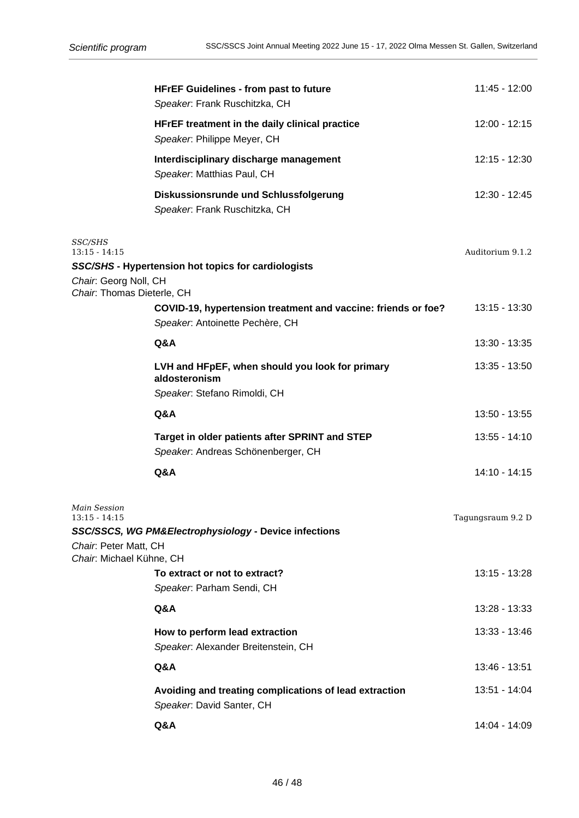|                                                          | <b>HFrEF Guidelines - from past to future</b><br>Speaker. Frank Ruschitzka, CH       | 11:45 - 12:00     |
|----------------------------------------------------------|--------------------------------------------------------------------------------------|-------------------|
|                                                          | HFrEF treatment in the daily clinical practice<br>Speaker. Philippe Meyer, CH        | 12:00 - 12:15     |
|                                                          | Interdisciplinary discharge management<br>Speaker: Matthias Paul, CH                 | 12:15 - 12:30     |
|                                                          | Diskussionsrunde und Schlussfolgerung<br>Speaker. Frank Ruschitzka, CH               | 12:30 - 12:45     |
| <i><b>SSC/SHS</b></i><br>$13:15 - 14:15$                 |                                                                                      | Auditorium 9.1.2  |
|                                                          | SSC/SHS - Hypertension hot topics for cardiologists                                  |                   |
| Chair: Georg Noll, CH<br>Chair: Thomas Dieterle, CH      |                                                                                      |                   |
|                                                          | COVID-19, hypertension treatment and vaccine: friends or foe?                        | $13:15 - 13:30$   |
|                                                          | Speaker. Antoinette Pechère, CH                                                      |                   |
|                                                          | Q&A                                                                                  | 13:30 - 13:35     |
|                                                          | LVH and HFpEF, when should you look for primary<br>aldosteronism                     | 13:35 - 13:50     |
|                                                          | Speaker. Stefano Rimoldi, CH                                                         |                   |
|                                                          | Q&A                                                                                  | 13:50 - 13:55     |
|                                                          | Target in older patients after SPRINT and STEP<br>Speaker. Andreas Schönenberger, CH | 13:55 - 14:10     |
|                                                          | Q&A                                                                                  | 14:10 - 14:15     |
| Main Session<br>$13:15 - 14:15$<br>Chair: Peter Matt, CH | SSC/SSCS, WG PM&Electrophysiology - Device infections                                | Tagungsraum 9.2 D |
| Chair. Michael Kühne, CH                                 | To extract or not to extract?<br>Speaker. Parham Sendi, CH                           | 13:15 - 13:28     |
|                                                          | Q&A                                                                                  | 13:28 - 13:33     |
|                                                          | How to perform lead extraction<br>Speaker. Alexander Breitenstein, CH                | 13:33 - 13:46     |
|                                                          | Q&A                                                                                  | 13:46 - 13:51     |
|                                                          | Avoiding and treating complications of lead extraction<br>Speaker. David Santer, CH  | 13:51 - 14:04     |
|                                                          | Q&A                                                                                  | 14:04 - 14:09     |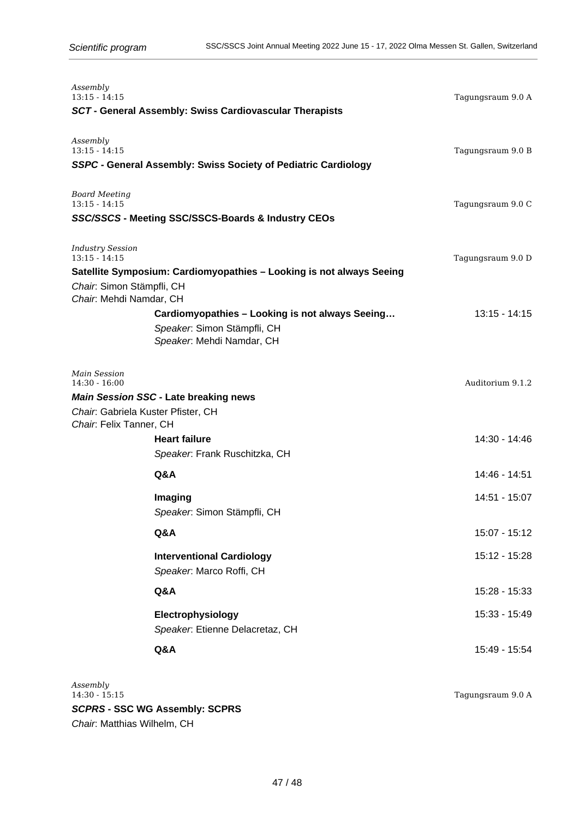| Assembly<br>$13:15 - 14:15$                                             | SCT - General Assembly: Swiss Cardiovascular Therapists                                                     | Tagungsraum 9.0 A |
|-------------------------------------------------------------------------|-------------------------------------------------------------------------------------------------------------|-------------------|
| Assembly<br>$13:15 - 14:15$                                             | SSPC - General Assembly: Swiss Society of Pediatric Cardiology                                              | Tagungsraum 9.0 B |
| <b>Board Meeting</b><br>$13:15 - 14:15$                                 | SSC/SSCS - Meeting SSC/SSCS-Boards & Industry CEOs                                                          | Tagungsraum 9.0 C |
| <b>Industry Session</b><br>$13:15 - 14:15$<br>Chair: Simon Stämpfli, CH | Satellite Symposium: Cardiomyopathies - Looking is not always Seeing                                        | Tagungsraum 9.0 D |
| Chair: Mehdi Namdar, CH                                                 | Cardiomyopathies - Looking is not always Seeing<br>Speaker: Simon Stämpfli, CH<br>Speaker. Mehdi Namdar, CH | $13:15 - 14:15$   |
| Main Session<br>$14:30 - 16:00$<br>Chair. Gabriela Kuster Pfister, CH   | <b>Main Session SSC - Late breaking news</b>                                                                | Auditorium 9.1.2  |
| Chair: Felix Tanner, CH                                                 | <b>Heart failure</b><br>Speaker. Frank Ruschitzka, CH                                                       | 14:30 - 14:46     |
|                                                                         | Q&A                                                                                                         | 14:46 - 14:51     |
|                                                                         | <b>Imaging</b><br>Speaker: Simon Stämpfli, CH                                                               | 14:51 - 15:07     |
|                                                                         | Q&A                                                                                                         | 15:07 - 15:12     |
|                                                                         | <b>Interventional Cardiology</b><br>Speaker. Marco Roffi, CH                                                | 15:12 - 15:28     |
|                                                                         | Q&A                                                                                                         | 15:28 - 15:33     |
|                                                                         | Electrophysiology<br>Speaker. Etienne Delacretaz, CH                                                        | 15:33 - 15:49     |
|                                                                         | Q&A                                                                                                         | 15:49 - 15:54     |

*Assembly* **SCPRS - SSC WG Assembly: SCPRS** Chair: Matthias Wilhelm, CH

Tagungsraum 9.0 A